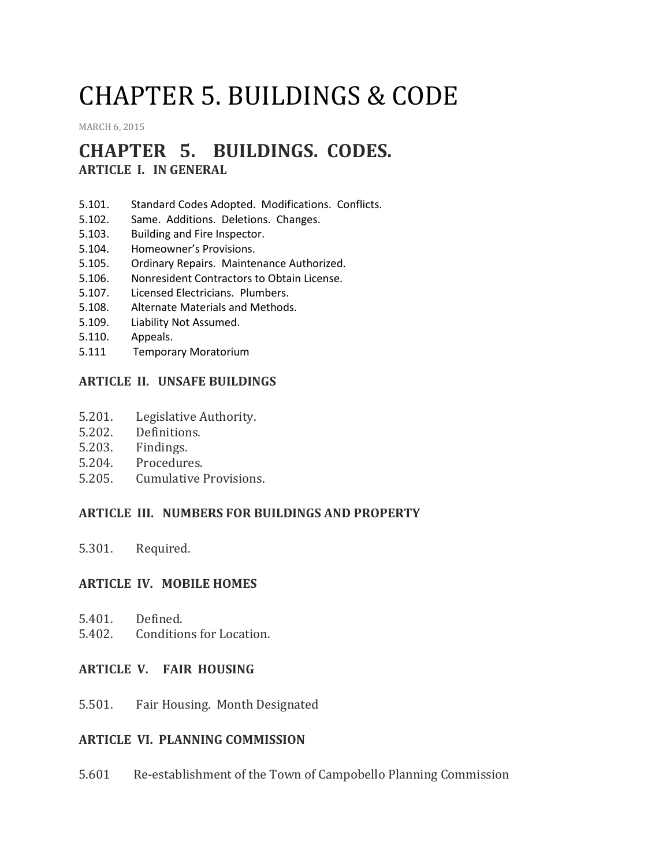# CHAPTER 5. BUILDINGS & CODE

[MARCH](http://townofcampobello.us/chapter-5-buildings-code/) 6, 2015

# **CHAPTER 5. BUILDINGS. CODES.**

**ARTICLE I. IN GENERAL**

- 5.101. Standard Codes Adopted. Modifications. Conflicts.
- 5.102. Same. Additions. Deletions. Changes.
- 5.103. Building and Fire Inspector.
- 5.104. Homeowner's Provisions.
- 5.105. Ordinary Repairs. Maintenance Authorized.
- 5.106. Nonresident Contractors to Obtain License.
- 5.107. Licensed Electricians. Plumbers.
- 5.108. Alternate Materials and Methods.
- 5.109. Liability Not Assumed.
- 5.110. Appeals.
- 5.111 Temporary Moratorium

## **ARTICLE II. UNSAFE BUILDINGS**

- 5.201. Legislative Authority.
- 5.202. Definitions.
- 5.203. Findings.
- 5.204. Procedures.
- 5.205. Cumulative Provisions.

#### **ARTICLE III. NUMBERS FOR BUILDINGS AND PROPERTY**

5.301. Required.

#### **ARTICLE IV. MOBILE HOMES**

- 5.401. Defined.
- 5.402. Conditions for Location.

#### **ARTICLE V. FAIR HOUSING**

5.501. Fair Housing. Month Designated

#### **ARTICLE VI. PLANNING COMMISSION**

5.601 Re-establishment of the Town of Campobello Planning Commission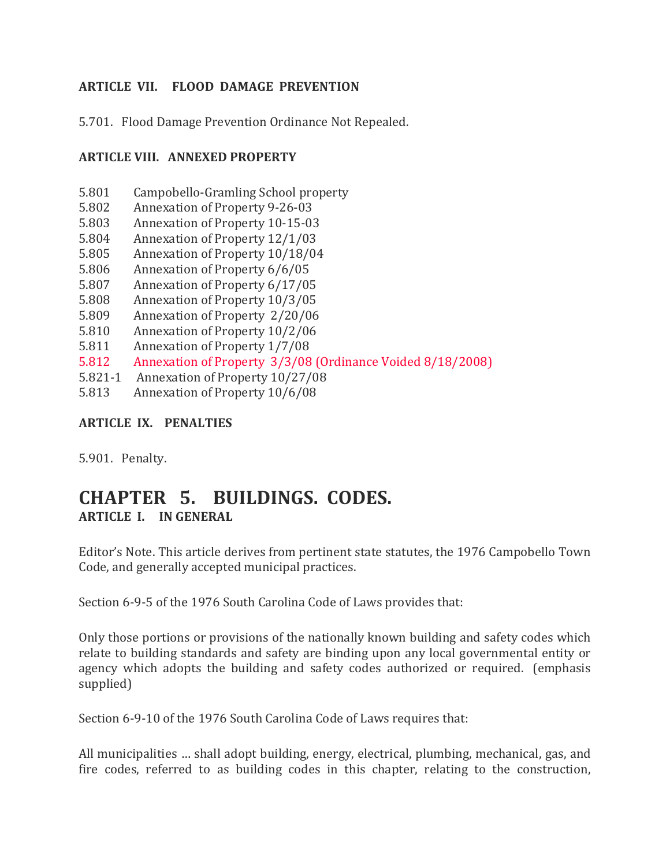## **ARTICLE VII. FLOOD DAMAGE PREVENTION**

5.701. Flood Damage Prevention Ordinance Not Repealed.

## **ARTICLE VIII. ANNEXED PROPERTY**

- 5.801 Campobello-Gramling School property
- 5.802 Annexation of Property 9-26-03
- 5.803 Annexation of Property 10-15-03
- 5.804 Annexation of Property 12/1/03
- 5.805 Annexation of Property 10/18/04
- 5.806 Annexation of Property 6/6/05
- 5.807 Annexation of Property 6/17/05
- 5.808 Annexation of Property 10/3/05
- 5.809 Annexation of Property 2/20/06
- 5.810 Annexation of Property 10/2/06
- 5.811 Annexation of Property 1/7/08
- 5.812 Annexation of Property 3/3/08 (Ordinance Voided 8/18/2008)
- 5.821-1 Annexation of Property 10/27/08
- 5.813 Annexation of Property 10/6/08

#### **ARTICLE IX. PENALTIES**

5.901. Penalty.

# **CHAPTER 5. BUILDINGS. CODES. ARTICLE I. IN GENERAL**

Editor's Note. This article derives from pertinent state statutes, the 1976 Campobello Town Code, and generally accepted municipal practices.

Section 6-9-5 of the 1976 South Carolina Code of Laws provides that:

Only those portions or provisions of the nationally known building and safety codes which relate to building standards and safety are binding upon any local governmental entity or agency which adopts the building and safety codes authorized or required. (emphasis supplied)

Section 6-9-10 of the 1976 South Carolina Code of Laws requires that:

All municipalities … shall adopt building, energy, electrical, plumbing, mechanical, gas, and fire codes, referred to as building codes in this chapter, relating to the construction,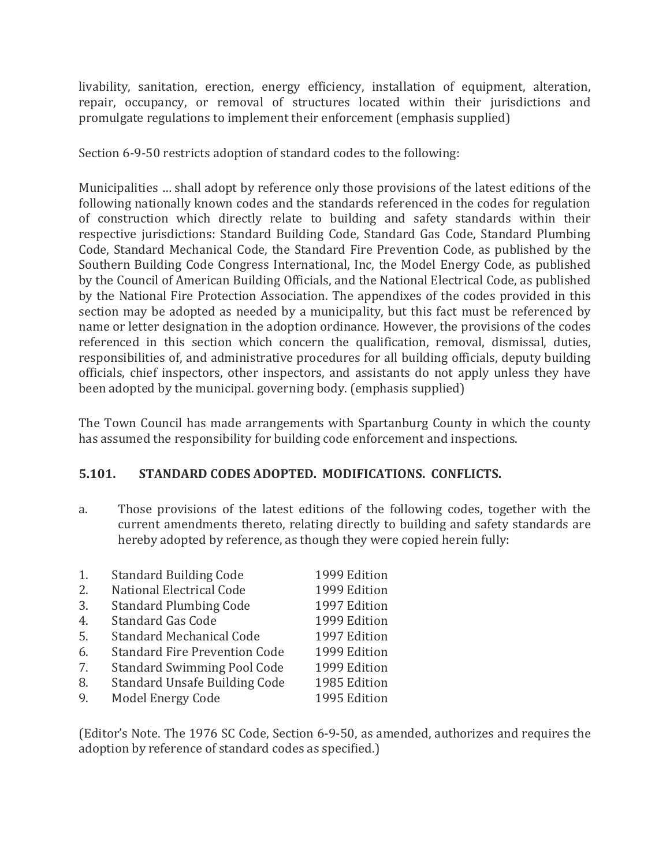livability, sanitation, erection, energy efficiency, installation of equipment, alteration, repair, occupancy, or removal of structures located within their jurisdictions and promulgate regulations to implement their enforcement (emphasis supplied)

Section 6-9-50 restricts adoption of standard codes to the following:

Municipalities … shall adopt by reference only those provisions of the latest editions of the following nationally known codes and the standards referenced in the codes for regulation of construction which directly relate to building and safety standards within their respective jurisdictions: Standard Building Code, Standard Gas Code, Standard Plumbing Code, Standard Mechanical Code, the Standard Fire Prevention Code, as published by the Southern Building Code Congress International, Inc, the Model Energy Code, as published by the Council of American Building Officials, and the National Electrical Code, as published by the National Fire Protection Association. The appendixes of the codes provided in this section may be adopted as needed by a municipality, but this fact must be referenced by name or letter designation in the adoption ordinance. However, the provisions of the codes referenced in this section which concern the qualification, removal, dismissal, duties, responsibilities of, and administrative procedures for all building officials, deputy building officials, chief inspectors, other inspectors, and assistants do not apply unless they have been adopted by the municipal. governing body. (emphasis supplied)

The Town Council has made arrangements with Spartanburg County in which the county has assumed the responsibility for building code enforcement and inspections.

## **5.101. STANDARD CODES ADOPTED. MODIFICATIONS. CONFLICTS.**

a. Those provisions of the latest editions of the following codes, together with the current amendments thereto, relating directly to building and safety standards are hereby adopted by reference, as though they were copied herein fully:

| 1. | <b>Standard Building Code</b>        | 1999 Edition |
|----|--------------------------------------|--------------|
| 2. | National Electrical Code             | 1999 Edition |
| 3. | <b>Standard Plumbing Code</b>        | 1997 Edition |
| 4. | <b>Standard Gas Code</b>             | 1999 Edition |
| 5. | <b>Standard Mechanical Code</b>      | 1997 Edition |
| 6. | <b>Standard Fire Prevention Code</b> | 1999 Edition |
| 7. | <b>Standard Swimming Pool Code</b>   | 1999 Edition |
| 8. | <b>Standard Unsafe Building Code</b> | 1985 Edition |
| 9. | Model Energy Code                    | 1995 Edition |

(Editor's Note. The 1976 SC Code, Section 6-9-50, as amended, authorizes and requires the adoption by reference of standard codes as specified.)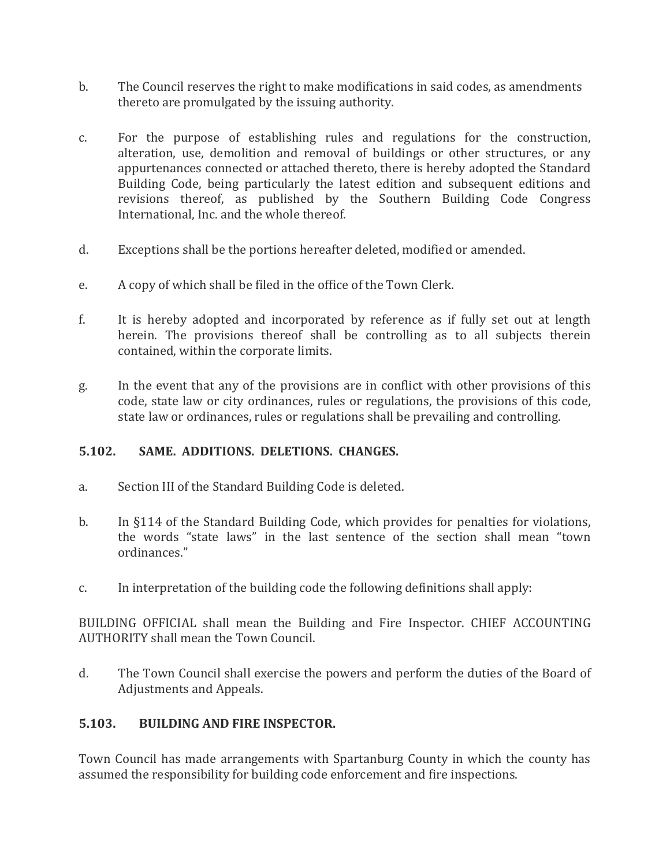- b. The Council reserves the right to make modifications in said codes, as amendments thereto are promulgated by the issuing authority.
- c. For the purpose of establishing rules and regulations for the construction, alteration, use, demolition and removal of buildings or other structures, or any appurtenances connected or attached thereto, there is hereby adopted the Standard Building Code, being particularly the latest edition and subsequent editions and revisions thereof, as published by the Southern Building Code Congress International, Inc. and the whole thereof.
- d. Exceptions shall be the portions hereafter deleted, modified or amended.
- e. A copy of which shall be filed in the office of the Town Clerk.
- f. It is hereby adopted and incorporated by reference as if fully set out at length herein. The provisions thereof shall be controlling as to all subjects therein contained, within the corporate limits.
- g. In the event that any of the provisions are in conflict with other provisions of this code, state law or city ordinances, rules or regulations, the provisions of this code, state law or ordinances, rules or regulations shall be prevailing and controlling.

# **5.102. SAME. ADDITIONS. DELETIONS. CHANGES.**

- a. Section III of the Standard Building Code is deleted.
- b. In §114 of the Standard Building Code, which provides for penalties for violations, the words "state laws" in the last sentence of the section shall mean "town ordinances."
- c. In interpretation of the building code the following definitions shall apply:

BUILDING OFFICIAL shall mean the Building and Fire Inspector. CHIEF ACCOUNTING AUTHORITY shall mean the Town Council.

d. The Town Council shall exercise the powers and perform the duties of the Board of Adjustments and Appeals.

# **5.103. BUILDING AND FIRE INSPECTOR.**

Town Council has made arrangements with Spartanburg County in which the county has assumed the responsibility for building code enforcement and fire inspections.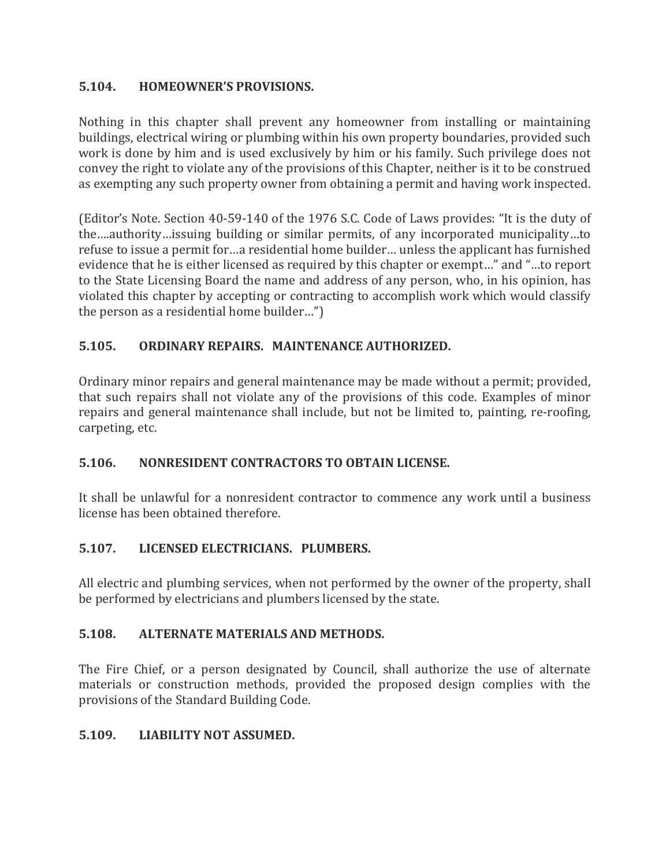# **5.104. HOMEOWNER'S PROVISIONS.**

Nothing in this chapter shall prevent any homeowner from installing or maintaining buildings, electrical wiring or plumbing within his own property boundaries, provided such work is done by him and is used exclusively by him or his family. Such privilege does not convey the right to violate any of the provisions of this Chapter, neither is it to be construed as exempting any such property owner from obtaining a permit and having work inspected.

(Editor's Note. Section 40-59-140 of the 1976 S.C. Code of Laws provides: "It is the duty of the….authority…issuing building or similar permits, of any incorporated municipality…to refuse to issue a permit for…a residential home builder… unless the applicant has furnished evidence that he is either licensed as required by this chapter or exempt…" and "…to report to the State Licensing Board the name and address of any person, who, in his opinion, has violated this chapter by accepting or contracting to accomplish work which would classify the person as a residential home builder…")

# **5.105. ORDINARY REPAIRS. MAINTENANCE AUTHORIZED.**

Ordinary minor repairs and general maintenance may be made without a permit; provided, that such repairs shall not violate any of the provisions of this code. Examples of minor repairs and general maintenance shall include, but not be limited to, painting, re-roofing, carpeting, etc.

## **5.106. NONRESIDENT CONTRACTORS TO OBTAIN LICENSE.**

It shall be unlawful for a nonresident contractor to commence any work until a business license has been obtained therefore.

# **5.107. LICENSED ELECTRICIANS. PLUMBERS.**

All electric and plumbing services, when not performed by the owner of the property, shall be performed by electricians and plumbers licensed by the state.

## **5.108. ALTERNATE MATERIALS AND METHODS.**

The Fire Chief, or a person designated by Council, shall authorize the use of alternate materials or construction methods, provided the proposed design complies with the provisions of the Standard Building Code.

## **5.109. LIABILITY NOT ASSUMED.**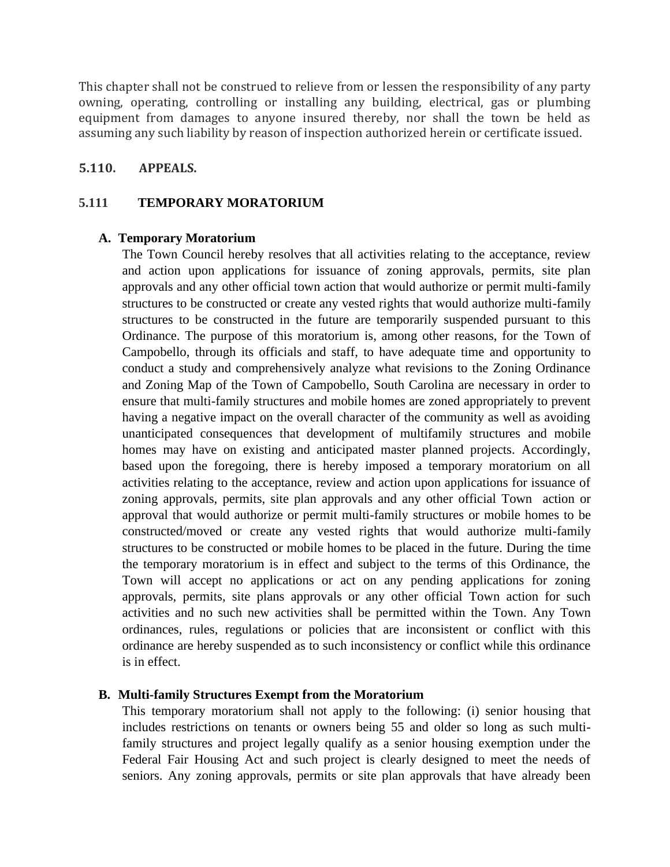This chapter shall not be construed to relieve from or lessen the responsibility of any party owning, operating, controlling or installing any building, electrical, gas or plumbing equipment from damages to anyone insured thereby, nor shall the town be held as assuming any such liability by reason of inspection authorized herein or certificate issued.

#### **5.110. APPEALS.**

#### **5.111 TEMPORARY MORATORIUM**

#### **A. Temporary Moratorium**

The Town Council hereby resolves that all activities relating to the acceptance, review and action upon applications for issuance of zoning approvals, permits, site plan approvals and any other official town action that would authorize or permit multi-family structures to be constructed or create any vested rights that would authorize multi-family structures to be constructed in the future are temporarily suspended pursuant to this Ordinance. The purpose of this moratorium is, among other reasons, for the Town of Campobello, through its officials and staff, to have adequate time and opportunity to conduct a study and comprehensively analyze what revisions to the Zoning Ordinance and Zoning Map of the Town of Campobello, South Carolina are necessary in order to ensure that multi-family structures and mobile homes are zoned appropriately to prevent having a negative impact on the overall character of the community as well as avoiding unanticipated consequences that development of multifamily structures and mobile homes may have on existing and anticipated master planned projects. Accordingly, based upon the foregoing, there is hereby imposed a temporary moratorium on all activities relating to the acceptance, review and action upon applications for issuance of zoning approvals, permits, site plan approvals and any other official Town action or approval that would authorize or permit multi-family structures or mobile homes to be constructed/moved or create any vested rights that would authorize multi-family structures to be constructed or mobile homes to be placed in the future. During the time the temporary moratorium is in effect and subject to the terms of this Ordinance, the Town will accept no applications or act on any pending applications for zoning approvals, permits, site plans approvals or any other official Town action for such activities and no such new activities shall be permitted within the Town. Any Town ordinances, rules, regulations or policies that are inconsistent or conflict with this ordinance are hereby suspended as to such inconsistency or conflict while this ordinance is in effect.

#### **B. Multi-family Structures Exempt from the Moratorium**

This temporary moratorium shall not apply to the following: (i) senior housing that includes restrictions on tenants or owners being 55 and older so long as such multifamily structures and project legally qualify as a senior housing exemption under the Federal Fair Housing Act and such project is clearly designed to meet the needs of seniors. Any zoning approvals, permits or site plan approvals that have already been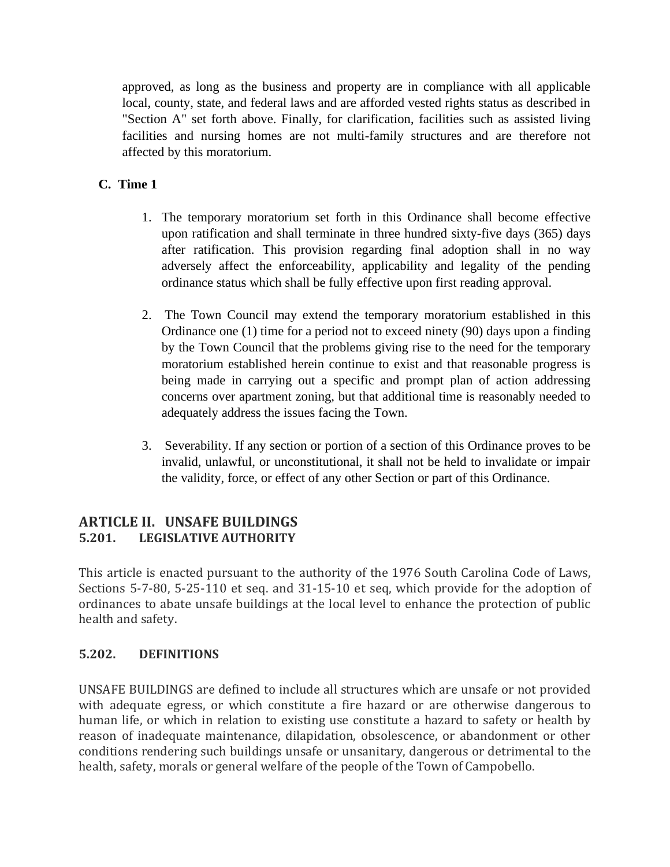approved, as long as the business and property are in compliance with all applicable local, county, state, and federal laws and are afforded vested rights status as described in "Section A" set forth above. Finally, for clarification, facilities such as assisted living facilities and nursing homes are not multi-family structures and are therefore not affected by this moratorium.

# **C. Time 1**

- 1. The temporary moratorium set forth in this Ordinance shall become effective upon ratification and shall terminate in three hundred sixty-five days (365) days after ratification. This provision regarding final adoption shall in no way adversely affect the enforceability, applicability and legality of the pending ordinance status which shall be fully effective upon first reading approval.
- 2. The Town Council may extend the temporary moratorium established in this Ordinance one (1) time for a period not to exceed ninety (90) days upon a finding by the Town Council that the problems giving rise to the need for the temporary moratorium established herein continue to exist and that reasonable progress is being made in carrying out a specific and prompt plan of action addressing concerns over apartment zoning, but that additional time is reasonably needed to adequately address the issues facing the Town.
- 3. Severability. If any section or portion of a section of this Ordinance proves to be invalid, unlawful, or unconstitutional, it shall not be held to invalidate or impair the validity, force, or effect of any other Section or part of this Ordinance.

# **ARTICLE II. UNSAFE BUILDINGS 5.201. LEGISLATIVE AUTHORITY**

This article is enacted pursuant to the authority of the 1976 South Carolina Code of Laws, Sections 5-7-80, 5-25-110 et seq. and 31-15-10 et seq, which provide for the adoption of ordinances to abate unsafe buildings at the local level to enhance the protection of public health and safety.

## **5.202. DEFINITIONS**

UNSAFE BUILDINGS are defined to include all structures which are unsafe or not provided with adequate egress, or which constitute a fire hazard or are otherwise dangerous to human life, or which in relation to existing use constitute a hazard to safety or health by reason of inadequate maintenance, dilapidation, obsolescence, or abandonment or other conditions rendering such buildings unsafe or unsanitary, dangerous or detrimental to the health, safety, morals or general welfare of the people of the Town of Campobello.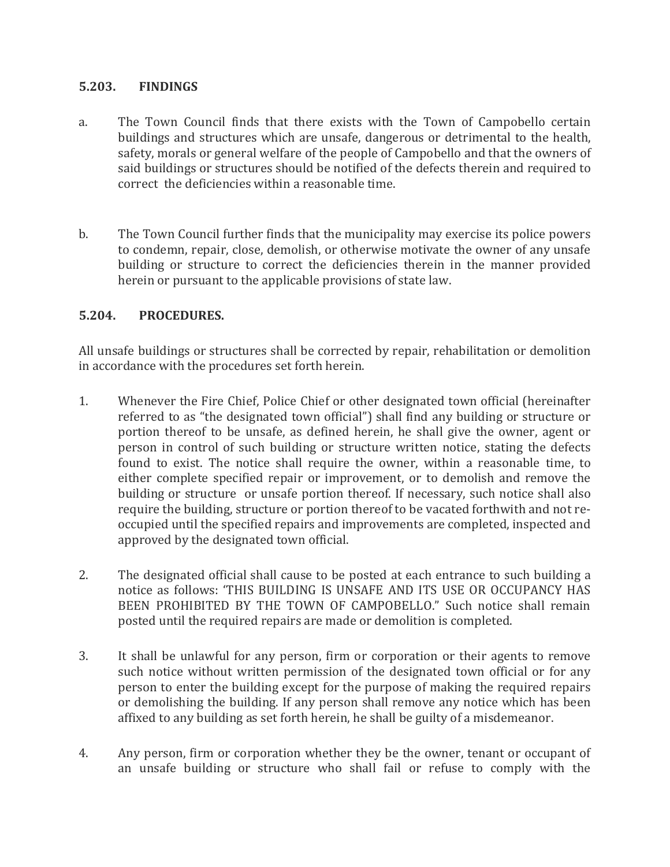## **5.203. FINDINGS**

- a. The Town Council finds that there exists with the Town of Campobello certain buildings and structures which are unsafe, dangerous or detrimental to the health, safety, morals or general welfare of the people of Campobello and that the owners of said buildings or structures should be notified of the defects therein and required to correct the deficiencies within a reasonable time.
- b. The Town Council further finds that the municipality may exercise its police powers to condemn, repair, close, demolish, or otherwise motivate the owner of any unsafe building or structure to correct the deficiencies therein in the manner provided herein or pursuant to the applicable provisions of state law.

## **5.204. PROCEDURES.**

All unsafe buildings or structures shall be corrected by repair, rehabilitation or demolition in accordance with the procedures set forth herein.

- 1. Whenever the Fire Chief, Police Chief or other designated town official (hereinafter referred to as "the designated town official") shall find any building or structure or portion thereof to be unsafe, as defined herein, he shall give the owner, agent or person in control of such building or structure written notice, stating the defects found to exist. The notice shall require the owner, within a reasonable time, to either complete specified repair or improvement, or to demolish and remove the building or structure or unsafe portion thereof. If necessary, such notice shall also require the building, structure or portion thereof to be vacated forthwith and not reoccupied until the specified repairs and improvements are completed, inspected and approved by the designated town official.
- 2. The designated official shall cause to be posted at each entrance to such building a notice as follows: 'THIS BUILDING IS UNSAFE AND ITS USE OR OCCUPANCY HAS BEEN PROHIBITED BY THE TOWN OF CAMPOBELLO." Such notice shall remain posted until the required repairs are made or demolition is completed.
- 3. It shall be unlawful for any person, firm or corporation or their agents to remove such notice without written permission of the designated town official or for any person to enter the building except for the purpose of making the required repairs or demolishing the building. If any person shall remove any notice which has been affixed to any building as set forth herein, he shall be guilty of a misdemeanor.
- 4. Any person, firm or corporation whether they be the owner, tenant or occupant of an unsafe building or structure who shall fail or refuse to comply with the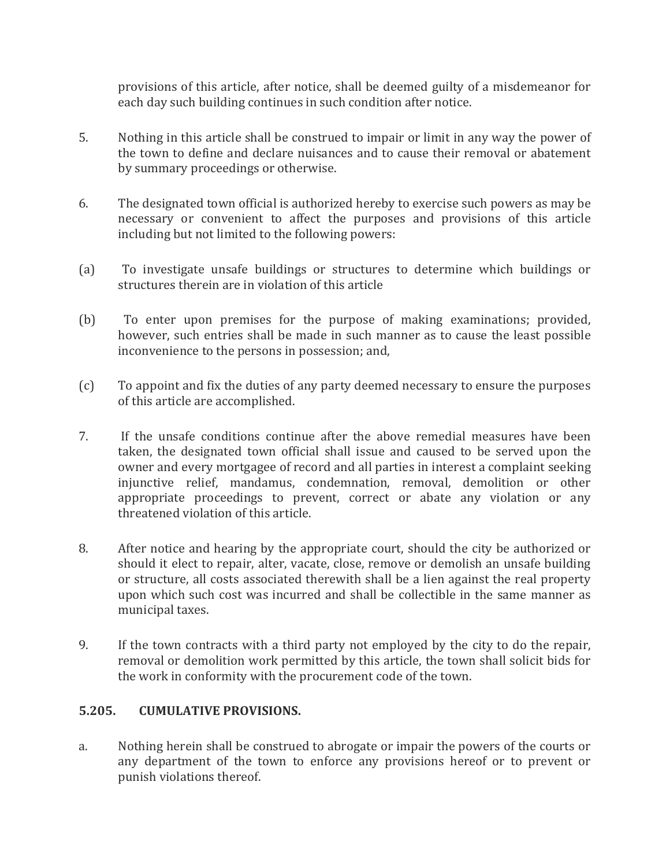provisions of this article, after notice, shall be deemed guilty of a misdemeanor for each day such building continues in such condition after notice.

- 5. Nothing in this article shall be construed to impair or limit in any way the power of the town to define and declare nuisances and to cause their removal or abatement by summary proceedings or otherwise.
- 6. The designated town official is authorized hereby to exercise such powers as may be necessary or convenient to affect the purposes and provisions of this article including but not limited to the following powers:
- (a) To investigate unsafe buildings or structures to determine which buildings or structures therein are in violation of this article
- (b) To enter upon premises for the purpose of making examinations; provided, however, such entries shall be made in such manner as to cause the least possible inconvenience to the persons in possession; and,
- (c) To appoint and fix the duties of any party deemed necessary to ensure the purposes of this article are accomplished.
- 7. If the unsafe conditions continue after the above remedial measures have been taken, the designated town official shall issue and caused to be served upon the owner and every mortgagee of record and all parties in interest a complaint seeking injunctive relief, mandamus, condemnation, removal, demolition or other appropriate proceedings to prevent, correct or abate any violation or any threatened violation of this article.
- 8. After notice and hearing by the appropriate court, should the city be authorized or should it elect to repair, alter, vacate, close, remove or demolish an unsafe building or structure, all costs associated therewith shall be a lien against the real property upon which such cost was incurred and shall be collectible in the same manner as municipal taxes.
- 9. If the town contracts with a third party not employed by the city to do the repair, removal or demolition work permitted by this article, the town shall solicit bids for the work in conformity with the procurement code of the town.

## **5.205. CUMULATIVE PROVISIONS.**

a. Nothing herein shall be construed to abrogate or impair the powers of the courts or any department of the town to enforce any provisions hereof or to prevent or punish violations thereof.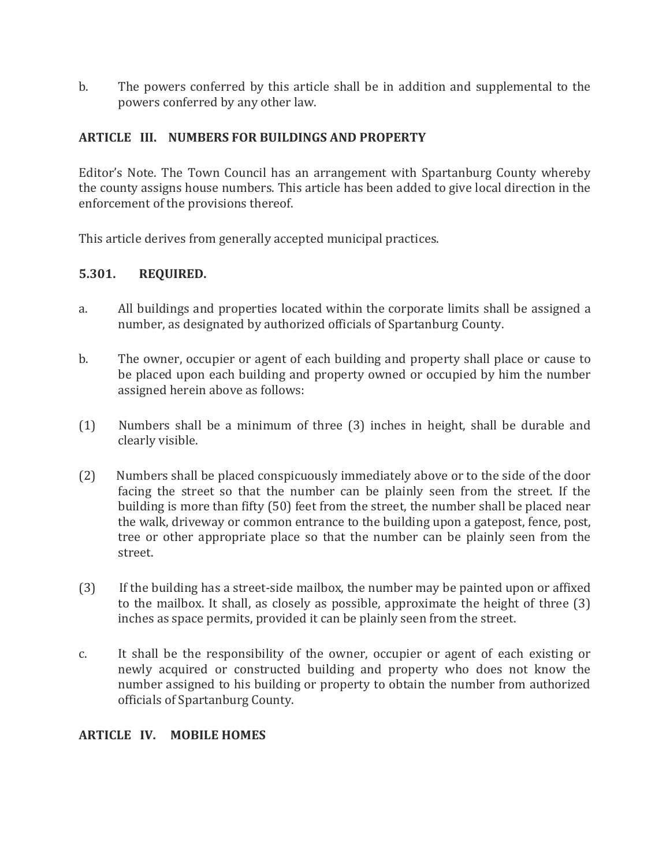b. The powers conferred by this article shall be in addition and supplemental to the powers conferred by any other law.

## **ARTICLE III. NUMBERS FOR BUILDINGS AND PROPERTY**

Editor's Note. The Town Council has an arrangement with Spartanburg County whereby the county assigns house numbers. This article has been added to give local direction in the enforcement of the provisions thereof.

This article derives from generally accepted municipal practices.

## **5.301. REQUIRED.**

- a. All buildings and properties located within the corporate limits shall be assigned a number, as designated by authorized officials of Spartanburg County.
- b. The owner, occupier or agent of each building and property shall place or cause to be placed upon each building and property owned or occupied by him the number assigned herein above as follows:
- (1) Numbers shall be a minimum of three (3) inches in height, shall be durable and clearly visible.
- (2) Numbers shall be placed conspicuously immediately above or to the side of the door facing the street so that the number can be plainly seen from the street. If the building is more than fifty (50) feet from the street, the number shall be placed near the walk, driveway or common entrance to the building upon a gatepost, fence, post, tree or other appropriate place so that the number can be plainly seen from the street.
- (3) If the building has a street-side mailbox, the number may be painted upon or affixed to the mailbox. It shall, as closely as possible, approximate the height of three (3) inches as space permits, provided it can be plainly seen from the street.
- c. It shall be the responsibility of the owner, occupier or agent of each existing or newly acquired or constructed building and property who does not know the number assigned to his building or property to obtain the number from authorized officials of Spartanburg County.

## **ARTICLE IV. MOBILE HOMES**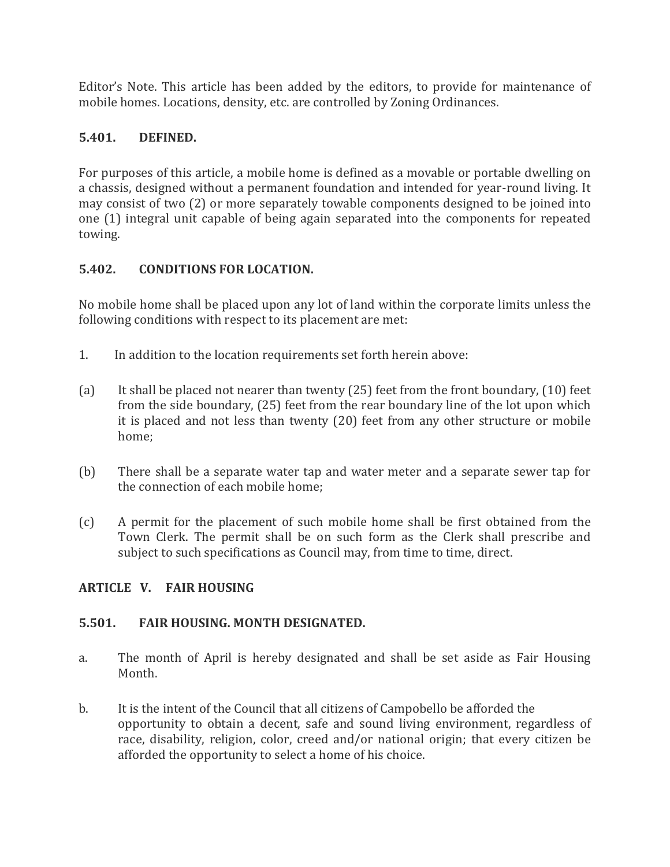Editor's Note. This article has been added by the editors, to provide for maintenance of mobile homes. Locations, density, etc. are controlled by Zoning Ordinances.

# **5.401. DEFINED.**

For purposes of this article, a mobile home is defined as a movable or portable dwelling on a chassis, designed without a permanent foundation and intended for year-round living. It may consist of two (2) or more separately towable components designed to be joined into one (1) integral unit capable of being again separated into the components for repeated towing.

## **5.402. CONDITIONS FOR LOCATION.**

No mobile home shall be placed upon any lot of land within the corporate limits unless the following conditions with respect to its placement are met:

- 1. In addition to the location requirements set forth herein above:
- (a) It shall be placed not nearer than twenty (25) feet from the front boundary, (10) feet from the side boundary, (25) feet from the rear boundary line of the lot upon which it is placed and not less than twenty (20) feet from any other structure or mobile home;
- (b) There shall be a separate water tap and water meter and a separate sewer tap for the connection of each mobile home;
- (c) A permit for the placement of such mobile home shall be first obtained from the Town Clerk. The permit shall be on such form as the Clerk shall prescribe and subject to such specifications as Council may, from time to time, direct.

## **ARTICLE V. FAIR HOUSING**

## **5.501. FAIR HOUSING. MONTH DESIGNATED.**

- a. The month of April is hereby designated and shall be set aside as Fair Housing Month.
- b. It is the intent of the Council that all citizens of Campobello be afforded the opportunity to obtain a decent, safe and sound living environment, regardless of race, disability, religion, color, creed and/or national origin; that every citizen be afforded the opportunity to select a home of his choice.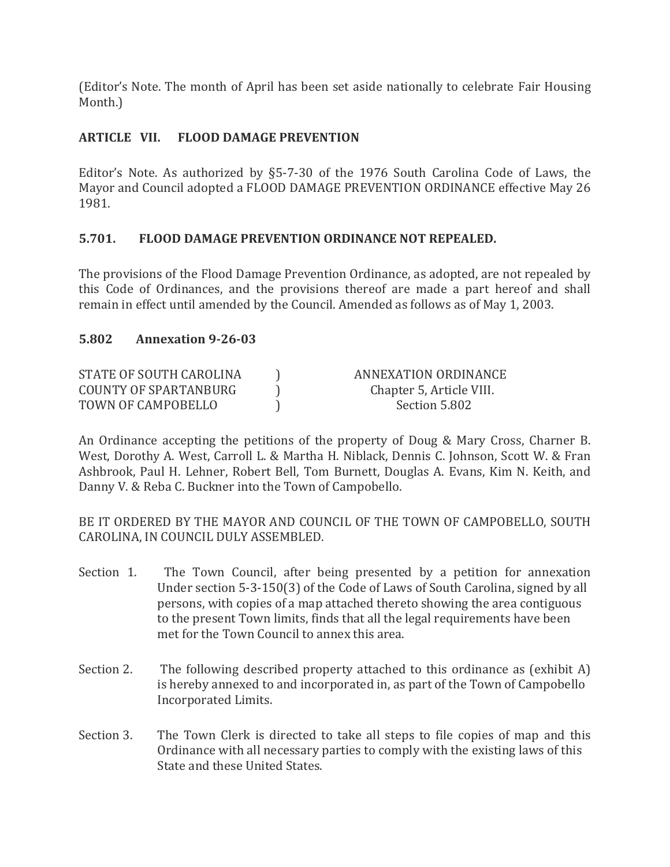(Editor's Note. The month of April has been set aside nationally to celebrate Fair Housing Month.)

## **ARTICLE VII. FLOOD DAMAGE PREVENTION**

Editor's Note. As authorized by §5-7-30 of the 1976 South Carolina Code of Laws, the Mayor and Council adopted a FLOOD DAMAGE PREVENTION ORDINANCE effective May 26 1981.

## **5.701. FLOOD DAMAGE PREVENTION ORDINANCE NOT REPEALED.**

The provisions of the Flood Damage Prevention Ordinance, as adopted, are not repealed by this Code of Ordinances, and the provisions thereof are made a part hereof and shall remain in effect until amended by the Council. Amended as follows as of May 1, 2003.

## **5.802 Annexation 9-26-03**

| STATE OF SOUTH CAROLINA | ANNEXATION ORDINANCE     |
|-------------------------|--------------------------|
| COUNTY OF SPARTANBURG   | Chapter 5, Article VIII. |
| TOWN OF CAMPOBELLO      | Section 5.802            |

An Ordinance accepting the petitions of the property of Doug & Mary Cross, Charner B. West, Dorothy A. West, Carroll L. & Martha H. Niblack, Dennis C. Johnson, Scott W. & Fran Ashbrook, Paul H. Lehner, Robert Bell, Tom Burnett, Douglas A. Evans, Kim N. Keith, and Danny V. & Reba C. Buckner into the Town of Campobello.

BE IT ORDERED BY THE MAYOR AND COUNCIL OF THE TOWN OF CAMPOBELLO, SOUTH CAROLINA, IN COUNCIL DULY ASSEMBLED.

- Section 1. The Town Council, after being presented by a petition for annexation Under section 5-3-150(3) of the Code of Laws of South Carolina, signed by all persons, with copies of a map attached thereto showing the area contiguous to the present Town limits, finds that all the legal requirements have been met for the Town Council to annex this area.
- Section 2. The following described property attached to this ordinance as (exhibit A) is hereby annexed to and incorporated in, as part of the Town of Campobello Incorporated Limits.
- Section 3. The Town Clerk is directed to take all steps to file copies of map and this Ordinance with all necessary parties to comply with the existing laws of this State and these United States.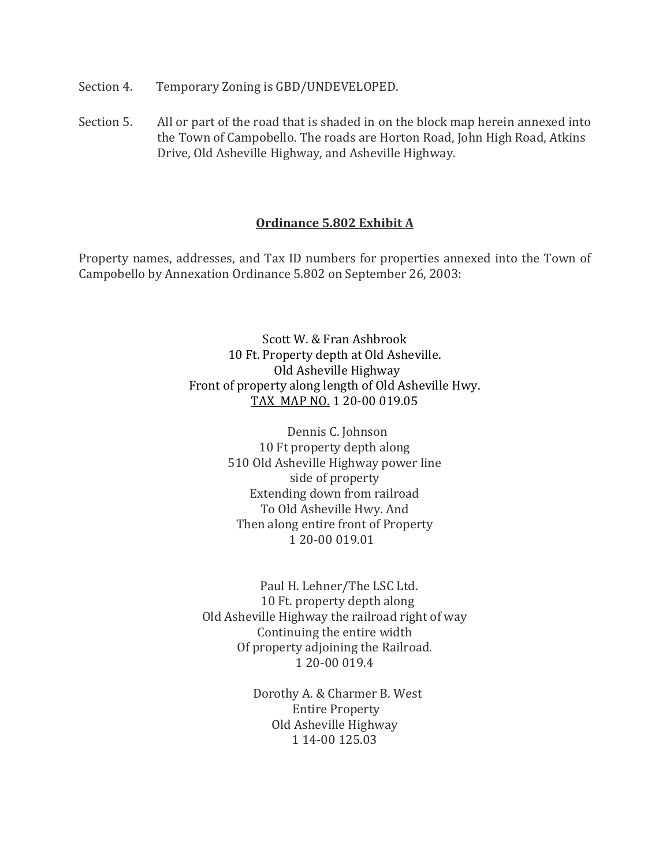- Section 4. Temporary Zoning is GBD/UNDEVELOPED.
- Section 5. All or part of the road that is shaded in on the block map herein annexed into the Town of Campobello. The roads are Horton Road, John High Road, Atkins Drive, Old Asheville Highway, and Asheville Highway.

#### **Ordinance 5.802 Exhibit A**

Property names, addresses, and Tax ID numbers for properties annexed into the Town of Campobello by Annexation Ordinance 5.802 on September 26, 2003:

> Scott W. & Fran Ashbrook 10 Ft. Property depth at Old Asheville. Old Asheville Highway Front of property along length of Old Asheville Hwy. TAX MAP NO. 1 20-00 019.05

> > Dennis C. Johnson 10 Ft property depth along 510 Old Asheville Highway power line side of property Extending down from railroad To Old Asheville Hwy. And Then along entire front of Property 1 20-00 019.01

 Paul H. Lehner/The LSC Ltd. 10 Ft. property depth along Old Asheville Highway the railroad right of way Continuing the entire width Of property adjoining the Railroad. 1 20-00 019.4

> Dorothy A. & Charmer B. West Entire Property Old Asheville Highway 1 14-00 125.03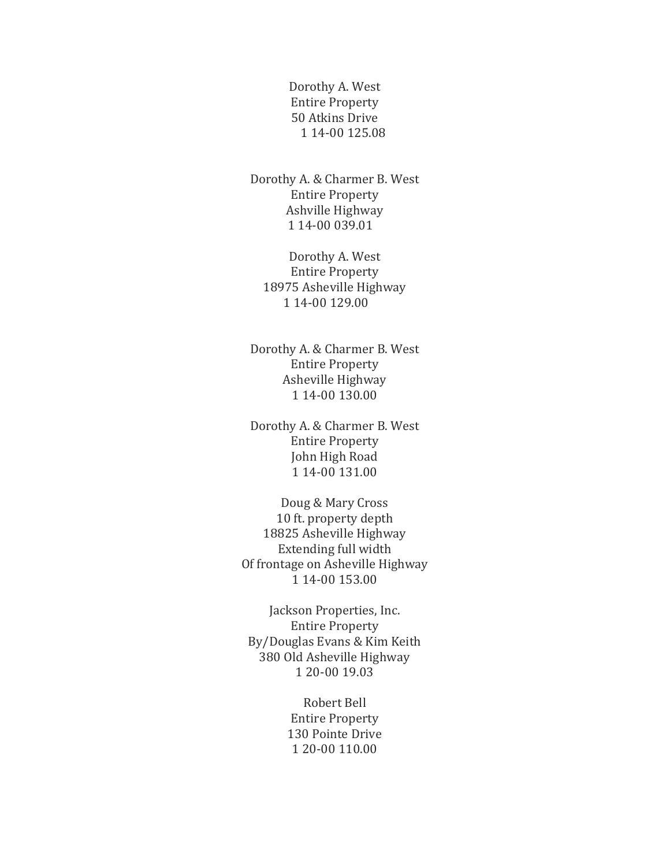Dorothy A. West Entire Property 50 Atkins Drive 1 14-00 125.08

 Dorothy A. & Charmer B. West Entire Property Ashville Highway 1 14-00 039.01

Dorothy A. West Entire Property 18975 Asheville Highway 1 14-00 129.00

Dorothy A. & Charmer B. West Entire Property Asheville Highway 1 14-00 130.00

Dorothy A. & Charmer B. West Entire Property John High Road 1 14-00 131.00

Doug & Mary Cross 10 ft. property depth 18825 Asheville Highway Extending full width Of frontage on Asheville Highway 1 14-00 153.00

Jackson Properties, Inc. Entire Property By/Douglas Evans & Kim Keith 380 Old Asheville Highway 1 20-00 19.03

> Robert Bell Entire Property 130 Pointe Drive 1 20-00 110.00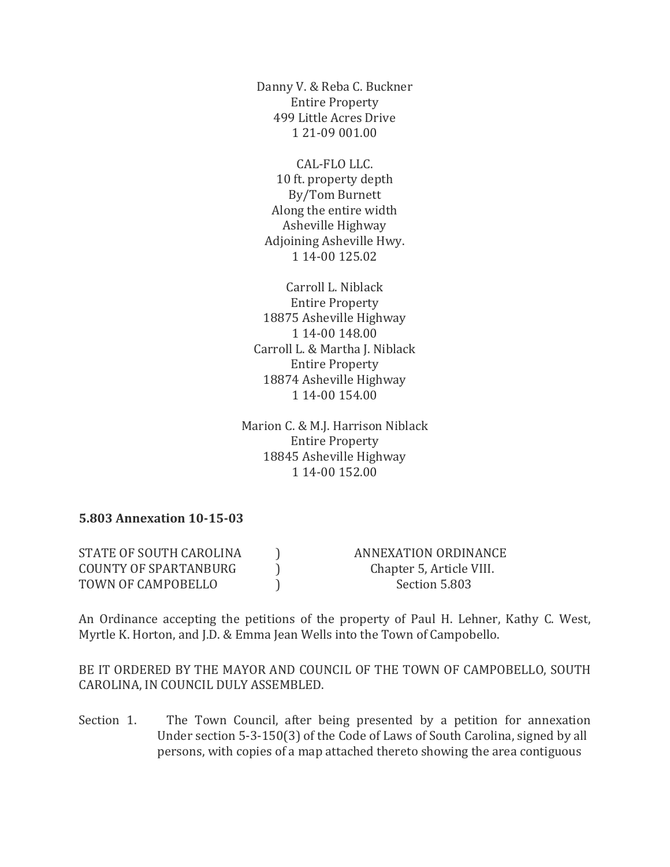Danny V. & Reba C. Buckner Entire Property 499 Little Acres Drive 1 21-09 001.00

CAL-FLO LLC. 10 ft. property depth By/Tom Burnett Along the entire width Asheville Highway Adjoining Asheville Hwy. 1 14-00 125.02

Carroll L. Niblack Entire Property 18875 Asheville Highway 1 14-00 148.00 Carroll L. & Martha J. Niblack Entire Property 18874 Asheville Highway 1 14-00 154.00

Marion C. & M.J. Harrison Niblack Entire Property 18845 Asheville Highway 1 14-00 152.00

#### **5.803 Annexation 10-15-03**

| STATE OF SOUTH CAROLINA | ANNEXATION ORDINANCE     |
|-------------------------|--------------------------|
| COUNTY OF SPARTANBURG   | Chapter 5, Article VIII. |
| TOWN OF CAMPOBELLO      | Section 5.803            |

An Ordinance accepting the petitions of the property of Paul H. Lehner, Kathy C. West, Myrtle K. Horton, and J.D. & Emma Jean Wells into the Town of Campobello.

BE IT ORDERED BY THE MAYOR AND COUNCIL OF THE TOWN OF CAMPOBELLO, SOUTH CAROLINA, IN COUNCIL DULY ASSEMBLED.

Section 1. The Town Council, after being presented by a petition for annexation Under section 5-3-150(3) of the Code of Laws of South Carolina, signed by all persons, with copies of a map attached thereto showing the area contiguous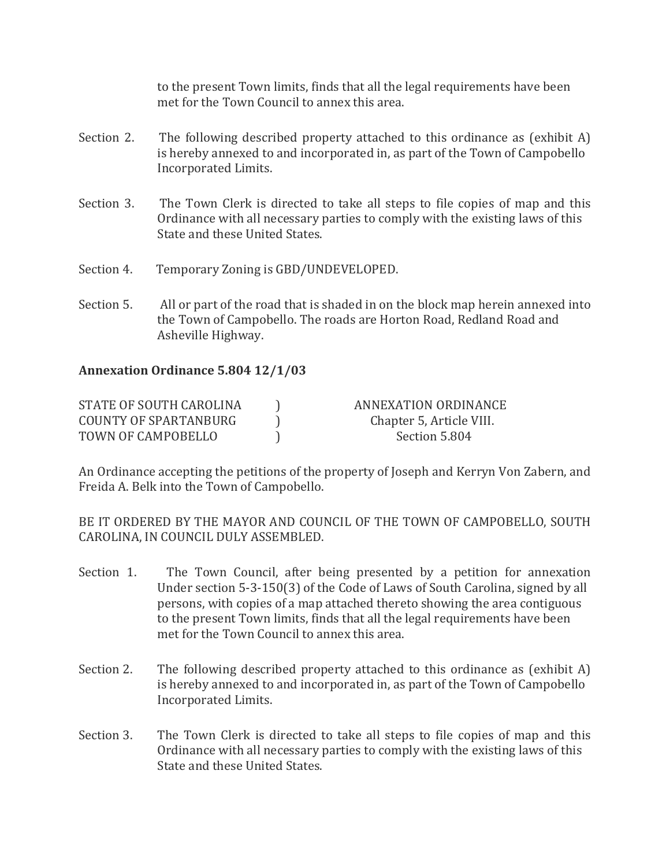to the present Town limits, finds that all the legal requirements have been met for the Town Council to annex this area.

- Section 2. The following described property attached to this ordinance as (exhibit A) is hereby annexed to and incorporated in, as part of the Town of Campobello Incorporated Limits.
- Section 3. The Town Clerk is directed to take all steps to file copies of map and this Ordinance with all necessary parties to comply with the existing laws of this State and these United States.
- Section 4. Temporary Zoning is GBD/UNDEVELOPED.
- Section 5. All or part of the road that is shaded in on the block map herein annexed into the Town of Campobello. The roads are Horton Road, Redland Road and Asheville Highway.

## **Annexation Ordinance 5.804 12/1/03**

| STATE OF SOUTH CAROLINA | ANNEXATION ORDINANCE     |
|-------------------------|--------------------------|
| COUNTY OF SPARTANBURG   | Chapter 5, Article VIII. |
| TOWN OF CAMPOBELLO      | Section 5.804            |

An Ordinance accepting the petitions of the property of Joseph and Kerryn Von Zabern, and Freida A. Belk into the Town of Campobello.

BE IT ORDERED BY THE MAYOR AND COUNCIL OF THE TOWN OF CAMPOBELLO, SOUTH CAROLINA, IN COUNCIL DULY ASSEMBLED.

- Section 1. The Town Council, after being presented by a petition for annexation Under section 5-3-150(3) of the Code of Laws of South Carolina, signed by all persons, with copies of a map attached thereto showing the area contiguous to the present Town limits, finds that all the legal requirements have been met for the Town Council to annex this area.
- Section 2. The following described property attached to this ordinance as (exhibit A) is hereby annexed to and incorporated in, as part of the Town of Campobello Incorporated Limits.
- Section 3. The Town Clerk is directed to take all steps to file copies of map and this Ordinance with all necessary parties to comply with the existing laws of this State and these United States.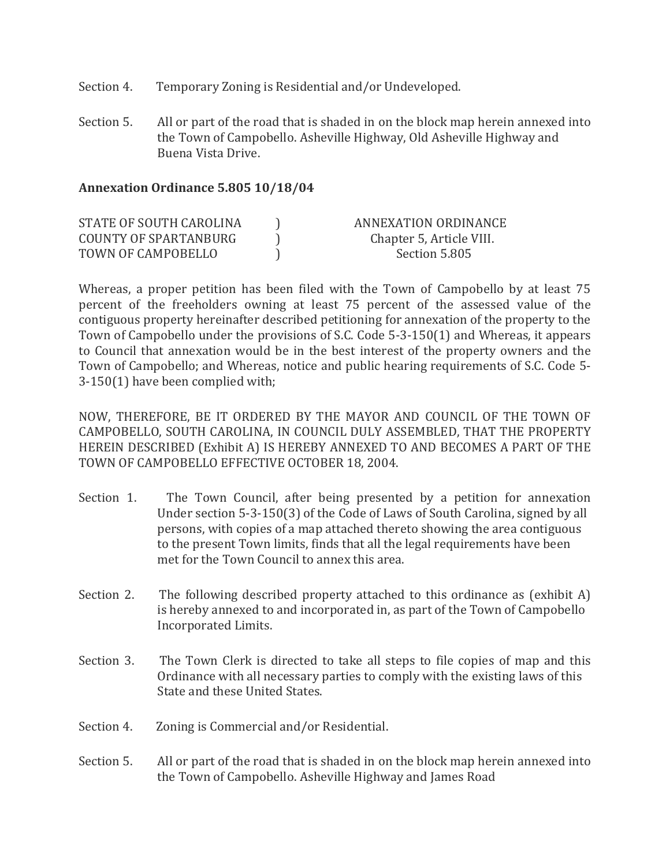- Section 4. Temporary Zoning is Residential and/or Undeveloped.
- Section 5. All or part of the road that is shaded in on the block map herein annexed into the Town of Campobello. Asheville Highway, Old Asheville Highway and Buena Vista Drive.

#### **Annexation Ordinance 5.805 10/18/04**

| STATE OF SOUTH CAROLINA | ANNEXATION ORDINANCE     |
|-------------------------|--------------------------|
| COUNTY OF SPARTANBURG   | Chapter 5, Article VIII. |
| TOWN OF CAMPOBELLO      | Section 5.805            |

Whereas, a proper petition has been filed with the Town of Campobello by at least 75 percent of the freeholders owning at least 75 percent of the assessed value of the contiguous property hereinafter described petitioning for annexation of the property to the Town of Campobello under the provisions of S.C. Code 5-3-150(1) and Whereas, it appears to Council that annexation would be in the best interest of the property owners and the Town of Campobello; and Whereas, notice and public hearing requirements of S.C. Code 5- 3-150(1) have been complied with;

NOW, THEREFORE, BE IT ORDERED BY THE MAYOR AND COUNCIL OF THE TOWN OF CAMPOBELLO, SOUTH CAROLINA, IN COUNCIL DULY ASSEMBLED, THAT THE PROPERTY HEREIN DESCRIBED (Exhibit A) IS HEREBY ANNEXED TO AND BECOMES A PART OF THE TOWN OF CAMPOBELLO EFFECTIVE OCTOBER 18, 2004.

- Section 1. The Town Council, after being presented by a petition for annexation Under section 5-3-150(3) of the Code of Laws of South Carolina, signed by all persons, with copies of a map attached thereto showing the area contiguous to the present Town limits, finds that all the legal requirements have been met for the Town Council to annex this area.
- Section 2. The following described property attached to this ordinance as (exhibit A) is hereby annexed to and incorporated in, as part of the Town of Campobello Incorporated Limits.
- Section 3. The Town Clerk is directed to take all steps to file copies of map and this Ordinance with all necessary parties to comply with the existing laws of this State and these United States.
- Section 4. Zoning is Commercial and/or Residential.
- Section 5. All or part of the road that is shaded in on the block map herein annexed into the Town of Campobello. Asheville Highway and James Road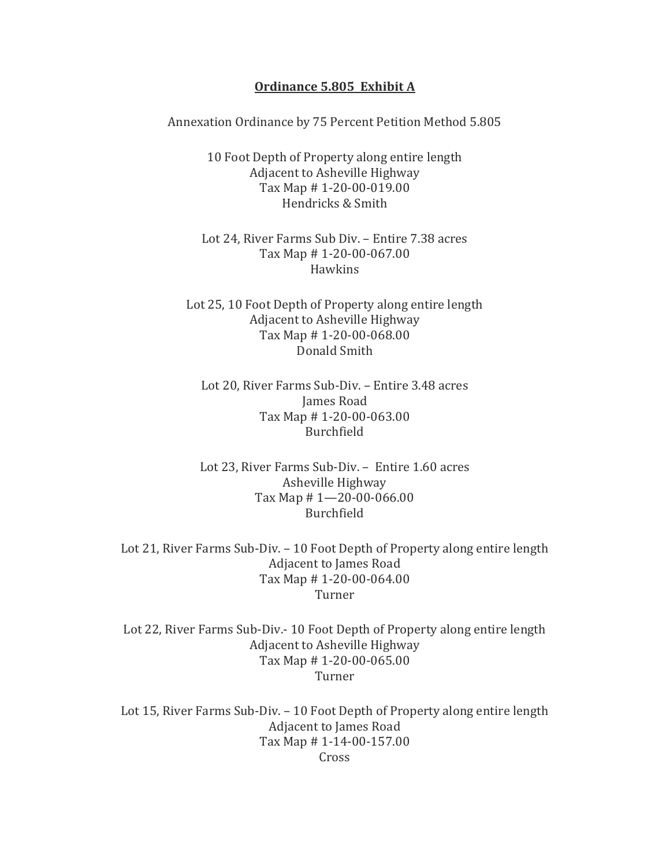#### **Ordinance 5.805 Exhibit A**

Annexation Ordinance by 75 Percent Petition Method 5.805

10 Foot Depth of Property along entire length Adjacent to Asheville Highway Tax Map # 1-20-00-019.00 Hendricks & Smith

Lot 24, River Farms Sub Div. – Entire 7.38 acres Tax Map # 1-20-00-067.00 **Hawkins** 

Lot 25, 10 Foot Depth of Property along entire length Adjacent to Asheville Highway Tax Map # 1-20-00-068.00 Donald Smith

Lot 20, River Farms Sub-Div. – Entire 3.48 acres James Road Tax Map # 1-20-00-063.00 Burchfield

Lot 23, River Farms Sub-Div. – Entire 1.60 acres Asheville Highway Tax Map # 1—20-00-066.00 Burchfield

Lot 21, River Farms Sub-Div. – 10 Foot Depth of Property along entire length Adjacent to James Road Tax Map # 1-20-00-064.00 Turner

Lot 22, River Farms Sub-Div.- 10 Foot Depth of Property along entire length Adjacent to Asheville Highway Tax Map # 1-20-00-065.00 Turner

Lot 15, River Farms Sub-Div. – 10 Foot Depth of Property along entire length Adjacent to James Road Tax Map # 1-14-00-157.00 Cross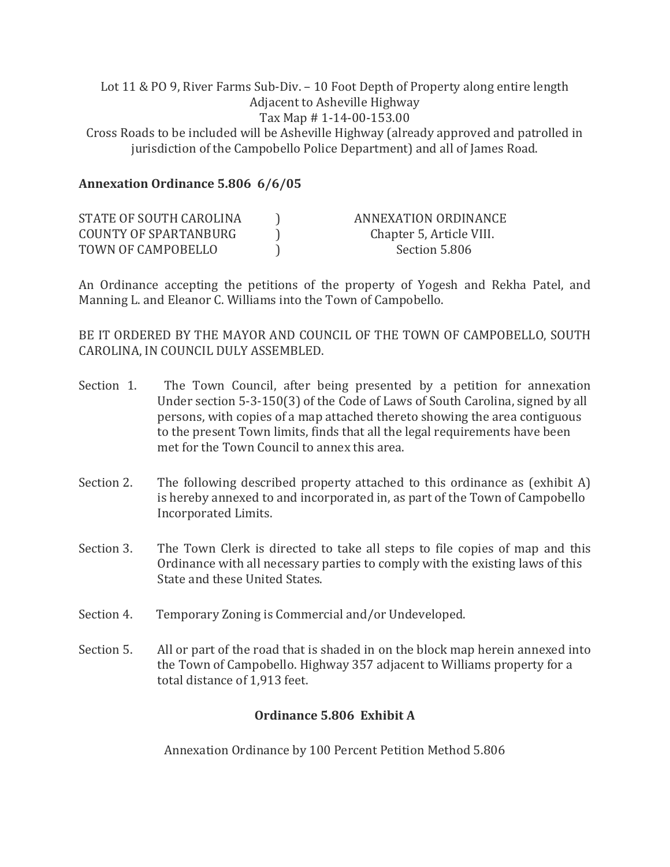#### Lot 11 & PO 9, River Farms Sub-Div. – 10 Foot Depth of Property along entire length Adjacent to Asheville Highway Tax Map # 1-14-00-153.00

Cross Roads to be included will be Asheville Highway (already approved and patrolled in jurisdiction of the Campobello Police Department) and all of James Road.

## **Annexation Ordinance 5.806 6/6/05**

| STATE OF SOUTH CAROLINA | ANNEXATION ORDINANCE     |
|-------------------------|--------------------------|
| COUNTY OF SPARTANBURG   | Chapter 5, Article VIII. |
| TOWN OF CAMPOBELLO      | Section 5.806            |

An Ordinance accepting the petitions of the property of Yogesh and Rekha Patel, and Manning L. and Eleanor C. Williams into the Town of Campobello.

BE IT ORDERED BY THE MAYOR AND COUNCIL OF THE TOWN OF CAMPOBELLO, SOUTH CAROLINA, IN COUNCIL DULY ASSEMBLED.

- Section 1. The Town Council, after being presented by a petition for annexation Under section 5-3-150(3) of the Code of Laws of South Carolina, signed by all persons, with copies of a map attached thereto showing the area contiguous to the present Town limits, finds that all the legal requirements have been met for the Town Council to annex this area.
- Section 2. The following described property attached to this ordinance as (exhibit A) is hereby annexed to and incorporated in, as part of the Town of Campobello Incorporated Limits.
- Section 3. The Town Clerk is directed to take all steps to file copies of map and this Ordinance with all necessary parties to comply with the existing laws of this State and these United States.
- Section 4. Temporary Zoning is Commercial and/or Undeveloped.
- Section 5. All or part of the road that is shaded in on the block map herein annexed into the Town of Campobello. Highway 357 adjacent to Williams property for a total distance of 1,913 feet.

## **Ordinance 5.806 Exhibit A**

Annexation Ordinance by 100 Percent Petition Method 5.806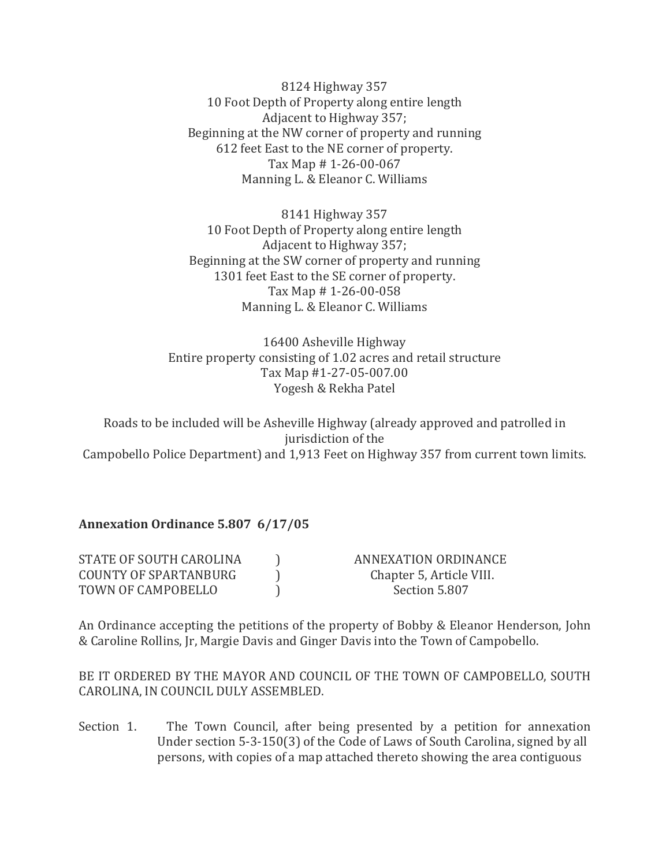8124 Highway 357 10 Foot Depth of Property along entire length Adjacent to Highway 357; Beginning at the NW corner of property and running 612 feet East to the NE corner of property. Tax Map # 1-26-00-067 Manning L. & Eleanor C. Williams

8141 Highway 357 10 Foot Depth of Property along entire length Adjacent to Highway 357; Beginning at the SW corner of property and running 1301 feet East to the SE corner of property. Tax Map # 1-26-00-058 Manning L. & Eleanor C. Williams

16400 Asheville Highway Entire property consisting of 1.02 acres and retail structure Tax Map #1-27-05-007.00 Yogesh & Rekha Patel

Roads to be included will be Asheville Highway (already approved and patrolled in jurisdiction of the Campobello Police Department) and 1,913 Feet on Highway 357 from current town limits.

## **Annexation Ordinance 5.807 6/17/05**

| STATE OF SOUTH CAROLINA | ANNEXATION ORDINANCE     |
|-------------------------|--------------------------|
| COUNTY OF SPARTANBURG   | Chapter 5, Article VIII. |
| TOWN OF CAMPOBELLO      | Section 5.807            |

An Ordinance accepting the petitions of the property of Bobby & Eleanor Henderson, John & Caroline Rollins, Jr, Margie Davis and Ginger Davis into the Town of Campobello.

BE IT ORDERED BY THE MAYOR AND COUNCIL OF THE TOWN OF CAMPOBELLO, SOUTH CAROLINA, IN COUNCIL DULY ASSEMBLED.

Section 1. The Town Council, after being presented by a petition for annexation Under section 5-3-150(3) of the Code of Laws of South Carolina, signed by all persons, with copies of a map attached thereto showing the area contiguous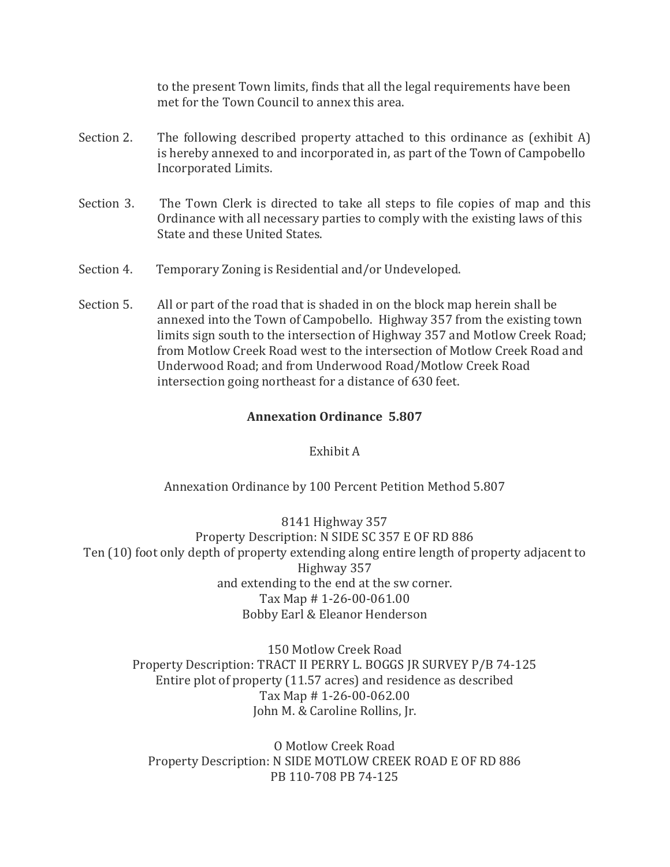to the present Town limits, finds that all the legal requirements have been met for the Town Council to annex this area.

- Section 2. The following described property attached to this ordinance as (exhibit A) is hereby annexed to and incorporated in, as part of the Town of Campobello Incorporated Limits.
- Section 3. The Town Clerk is directed to take all steps to file copies of map and this Ordinance with all necessary parties to comply with the existing laws of this State and these United States.
- Section 4. Temporary Zoning is Residential and/or Undeveloped.
- Section 5. All or part of the road that is shaded in on the block map herein shall be annexed into the Town of Campobello. Highway 357 from the existing town limits sign south to the intersection of Highway 357 and Motlow Creek Road; from Motlow Creek Road west to the intersection of Motlow Creek Road and Underwood Road; and from Underwood Road/Motlow Creek Road intersection going northeast for a distance of 630 feet.

## **Annexation Ordinance 5.807**

## Exhibit A

Annexation Ordinance by 100 Percent Petition Method 5.807

8141 Highway 357 Property Description: N SIDE SC 357 E OF RD 886 Ten (10) foot only depth of property extending along entire length of property adjacent to Highway 357 and extending to the end at the sw corner. Tax Map # 1-26-00-061.00 Bobby Earl & Eleanor Henderson

150 Motlow Creek Road Property Description: TRACT II PERRY L. BOGGS JR SURVEY P/B 74-125 Entire plot of property (11.57 acres) and residence as described Tax Map # 1-26-00-062.00 John M. & Caroline Rollins, Jr.

O Motlow Creek Road Property Description: N SIDE MOTLOW CREEK ROAD E OF RD 886 PB 110-708 PB 74-125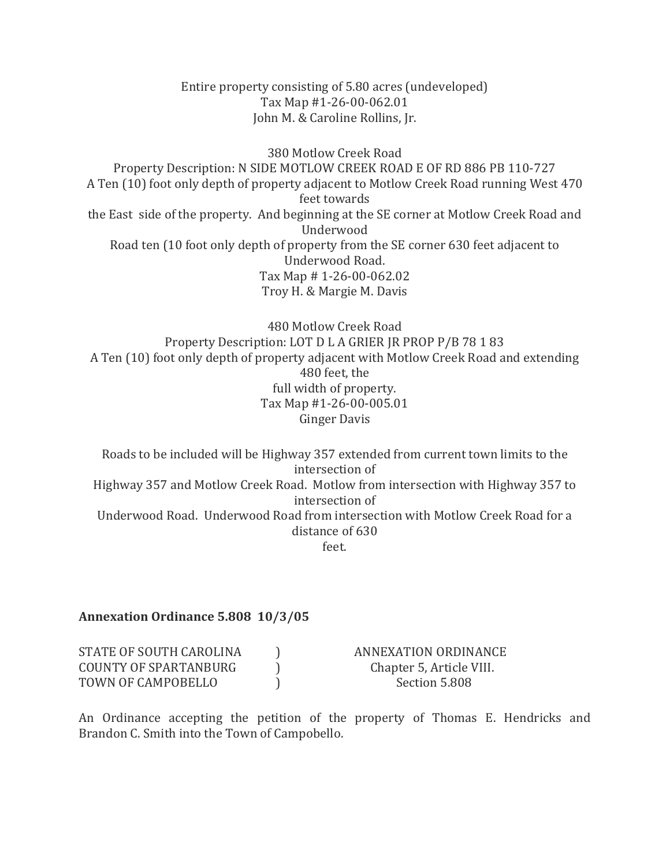Entire property consisting of 5.80 acres (undeveloped) Tax Map #1-26-00-062.01 John M. & Caroline Rollins, Jr.

380 Motlow Creek Road Property Description: N SIDE MOTLOW CREEK ROAD E OF RD 886 PB 110-727 A Ten (10) foot only depth of property adjacent to Motlow Creek Road running West 470 feet towards the East side of the property. And beginning at the SE corner at Motlow Creek Road and Underwood Road ten (10 foot only depth of property from the SE corner 630 feet adjacent to Underwood Road. Tax Map # 1-26-00-062.02 Troy H. & Margie M. Davis

480 Motlow Creek Road Property Description: LOT D L A GRIER JR PROP P/B 78 1 83 A Ten (10) foot only depth of property adjacent with Motlow Creek Road and extending 480 feet, the full width of property. Tax Map #1-26-00-005.01 Ginger Davis

Roads to be included will be Highway 357 extended from current town limits to the intersection of Highway 357 and Motlow Creek Road. Motlow from intersection with Highway 357 to intersection of Underwood Road. Underwood Road from intersection with Motlow Creek Road for a distance of 630 feet.

#### **Annexation Ordinance 5.808 10/3/05**

| STATE OF SOUTH CAROLINA | ANNEXATION ORDINANCE     |
|-------------------------|--------------------------|
| COUNTY OF SPARTANBURG   | Chapter 5, Article VIII. |
| TOWN OF CAMPOBELLO      | Section 5.808            |

An Ordinance accepting the petition of the property of Thomas E. Hendricks and Brandon C. Smith into the Town of Campobello.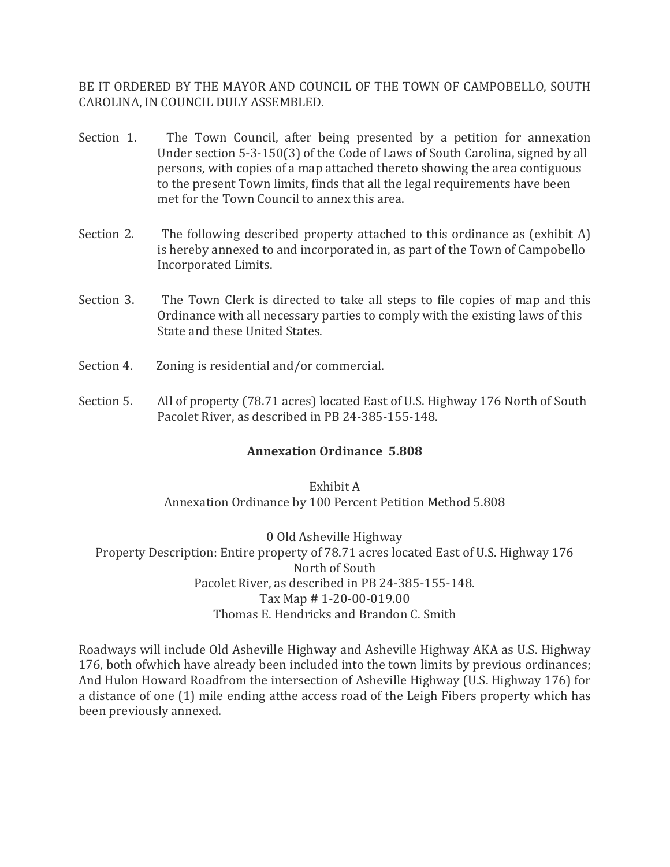BE IT ORDERED BY THE MAYOR AND COUNCIL OF THE TOWN OF CAMPOBELLO, SOUTH CAROLINA, IN COUNCIL DULY ASSEMBLED.

- Section 1. The Town Council, after being presented by a petition for annexation Under section 5-3-150(3) of the Code of Laws of South Carolina, signed by all persons, with copies of a map attached thereto showing the area contiguous to the present Town limits, finds that all the legal requirements have been met for the Town Council to annex this area.
- Section 2. The following described property attached to this ordinance as (exhibit A) is hereby annexed to and incorporated in, as part of the Town of Campobello Incorporated Limits.
- Section 3. The Town Clerk is directed to take all steps to file copies of map and this Ordinance with all necessary parties to comply with the existing laws of this State and these United States.
- Section 4. Zoning is residential and/or commercial.
- Section 5. All of property (78.71 acres) located East of U.S. Highway 176 North of South Pacolet River, as described in PB 24-385-155-148.

## **Annexation Ordinance 5.808**

## Exhibit A Annexation Ordinance by 100 Percent Petition Method 5.808

0 Old Asheville Highway Property Description: Entire property of 78.71 acres located East of U.S. Highway 176 North of South Pacolet River, as described in PB 24-385-155-148. Tax Map # 1-20-00-019.00 Thomas E. Hendricks and Brandon C. Smith

Roadways will include Old Asheville Highway and Asheville Highway AKA as U.S. Highway 176, both ofwhich have already been included into the town limits by previous ordinances; And Hulon Howard Roadfrom the intersection of Asheville Highway (U.S. Highway 176) for a distance of one (1) mile ending atthe access road of the Leigh Fibers property which has been previously annexed.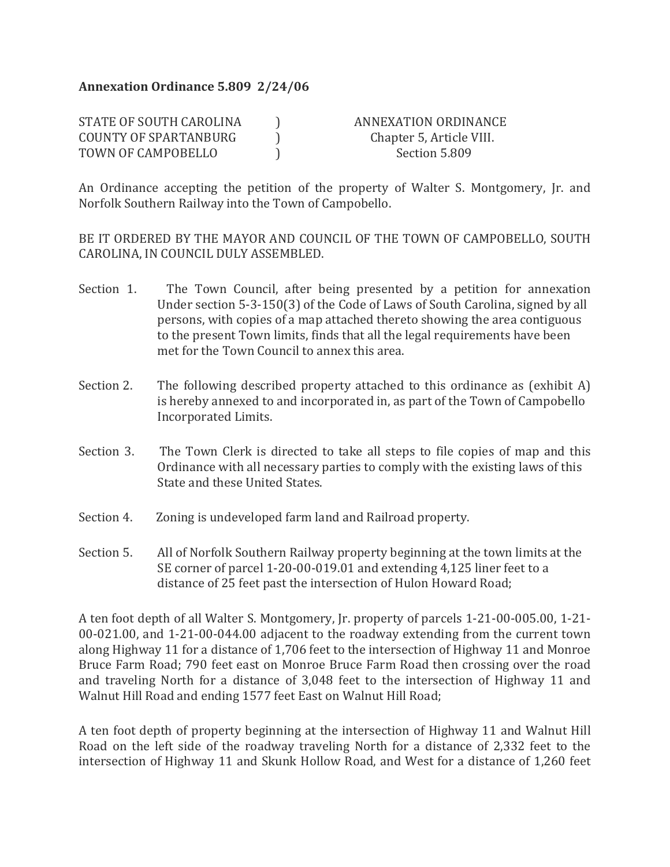## **Annexation Ordinance 5.809 2/24/06**

| STATE OF SOUTH CAROLINA | ANNEXATION ORDINANCE     |
|-------------------------|--------------------------|
| COUNTY OF SPARTANBURG   | Chapter 5, Article VIII. |
| TOWN OF CAMPOBELLO      | Section 5.809            |

An Ordinance accepting the petition of the property of Walter S. Montgomery, Jr. and Norfolk Southern Railway into the Town of Campobello.

BE IT ORDERED BY THE MAYOR AND COUNCIL OF THE TOWN OF CAMPOBELLO, SOUTH CAROLINA, IN COUNCIL DULY ASSEMBLED.

- Section 1. The Town Council, after being presented by a petition for annexation Under section 5-3-150(3) of the Code of Laws of South Carolina, signed by all persons, with copies of a map attached thereto showing the area contiguous to the present Town limits, finds that all the legal requirements have been met for the Town Council to annex this area.
- Section 2. The following described property attached to this ordinance as (exhibit A) is hereby annexed to and incorporated in, as part of the Town of Campobello Incorporated Limits.
- Section 3. The Town Clerk is directed to take all steps to file copies of map and this Ordinance with all necessary parties to comply with the existing laws of this State and these United States.
- Section 4. Zoning is undeveloped farm land and Railroad property.
- Section 5. All of Norfolk Southern Railway property beginning at the town limits at the SE corner of parcel 1-20-00-019.01 and extending 4,125 liner feet to a distance of 25 feet past the intersection of Hulon Howard Road;

A ten foot depth of all Walter S. Montgomery, Jr. property of parcels 1-21-00-005.00, 1-21- 00-021.00, and 1-21-00-044.00 adjacent to the roadway extending from the current town along Highway 11 for a distance of 1,706 feet to the intersection of Highway 11 and Monroe Bruce Farm Road; 790 feet east on Monroe Bruce Farm Road then crossing over the road and traveling North for a distance of 3,048 feet to the intersection of Highway 11 and Walnut Hill Road and ending 1577 feet East on Walnut Hill Road;

A ten foot depth of property beginning at the intersection of Highway 11 and Walnut Hill Road on the left side of the roadway traveling North for a distance of 2,332 feet to the intersection of Highway 11 and Skunk Hollow Road, and West for a distance of 1,260 feet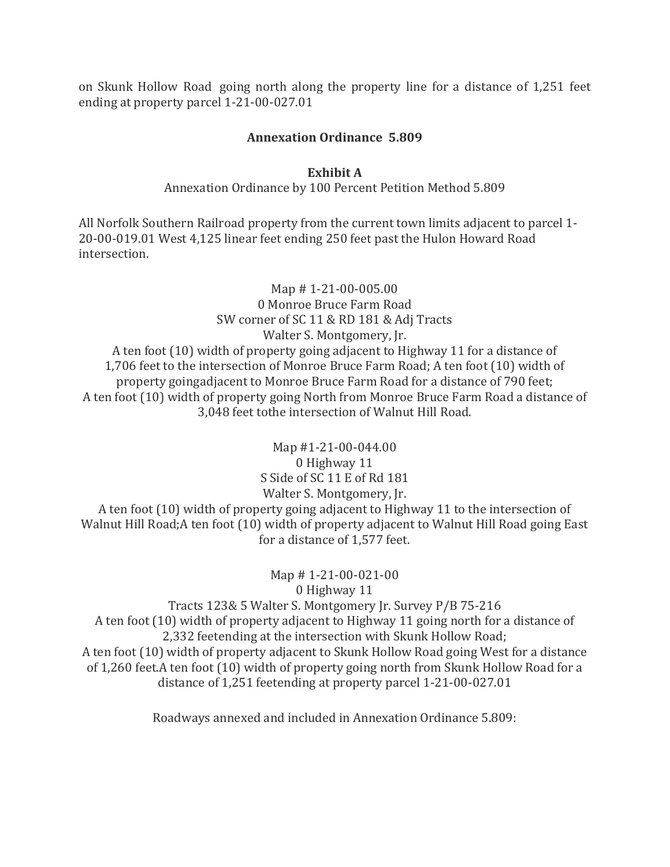on Skunk Hollow Road going north along the property line for a distance of 1,251 feet ending at property parcel 1-21-00-027.01

## **Annexation Ordinance 5.809**

#### **Exhibit A**

Annexation Ordinance by 100 Percent Petition Method 5.809

All Norfolk Southern Railroad property from the current town limits adjacent to parcel 1- 20-00-019.01 West 4,125 linear feet ending 250 feet past the Hulon Howard Road intersection.

Map # 1-21-00-005.00 0 Monroe Bruce Farm Road SW corner of SC 11 & RD 181 & Adj Tracts Walter S. Montgomery, Jr. A ten foot (10) width of property going adjacent to Highway 11 for a distance of 1,706 feet to the intersection of Monroe Bruce Farm Road; A ten foot (10) width of property goingadjacent to Monroe Bruce Farm Road for a distance of 790 feet; A ten foot (10) width of property going North from Monroe Bruce Farm Road a distance of 3,048 feet tothe intersection of Walnut Hill Road.

Map #1-21-00-044.00 0 Highway 11 S Side of SC 11 E of Rd 181 Walter S. Montgomery, Jr. A ten foot (10) width of property going adjacent to Highway 11 to the intersection of Walnut Hill Road;A ten foot (10) width of property adjacent to Walnut Hill Road going East for a distance of 1,577 feet.

Map # 1-21-00-021-00 0 Highway 11 Tracts 123& 5 Walter S. Montgomery Jr. Survey P/B 75-216 A ten foot (10) width of property adjacent to Highway 11 going north for a distance of 2,332 feetending at the intersection with Skunk Hollow Road; A ten foot (10) width of property adjacent to Skunk Hollow Road going West for a distance of 1,260 feet.A ten foot (10) width of property going north from Skunk Hollow Road for a distance of 1,251 feetending at property parcel 1-21-00-027.01

Roadways annexed and included in Annexation Ordinance 5.809: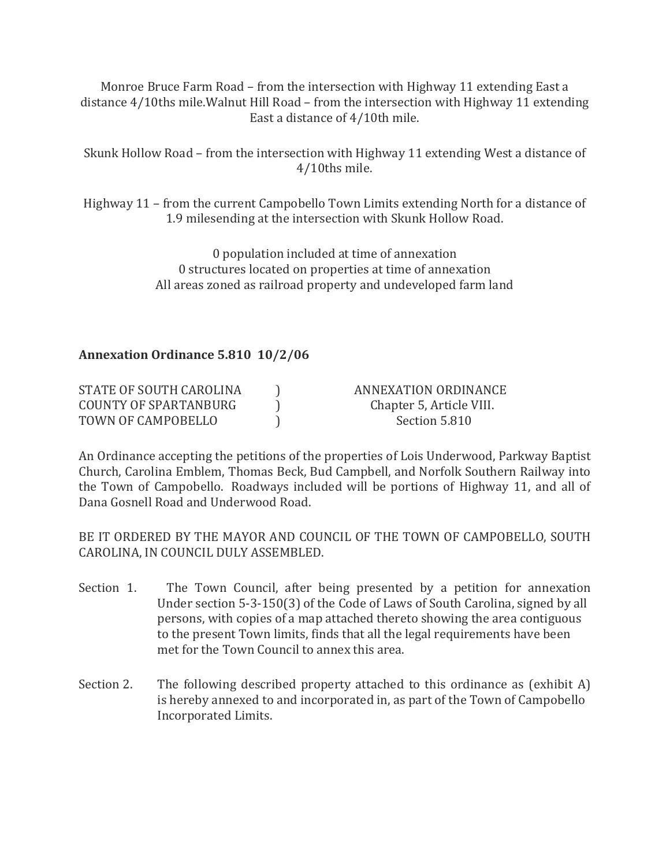Monroe Bruce Farm Road – from the intersection with Highway 11 extending East a distance 4/10ths mile.Walnut Hill Road – from the intersection with Highway 11 extending East a distance of 4/10th mile.

Skunk Hollow Road – from the intersection with Highway 11 extending West a distance of 4/10ths mile.

Highway 11 – from the current Campobello Town Limits extending North for a distance of 1.9 milesending at the intersection with Skunk Hollow Road.

> 0 population included at time of annexation 0 structures located on properties at time of annexation All areas zoned as railroad property and undeveloped farm land

**Annexation Ordinance 5.810 10/2/06**

| STATE OF SOUTH CAROLINA | ANNEXATION ORDINANCE     |
|-------------------------|--------------------------|
| COUNTY OF SPARTANBURG   | Chapter 5, Article VIII. |
| TOWN OF CAMPOBELLO      | Section 5.810            |

An Ordinance accepting the petitions of the properties of Lois Underwood, Parkway Baptist Church, Carolina Emblem, Thomas Beck, Bud Campbell, and Norfolk Southern Railway into the Town of Campobello. Roadways included will be portions of Highway 11, and all of Dana Gosnell Road and Underwood Road.

BE IT ORDERED BY THE MAYOR AND COUNCIL OF THE TOWN OF CAMPOBELLO, SOUTH CAROLINA, IN COUNCIL DULY ASSEMBLED.

- Section 1. The Town Council, after being presented by a petition for annexation Under section 5-3-150(3) of the Code of Laws of South Carolina, signed by all persons, with copies of a map attached thereto showing the area contiguous to the present Town limits, finds that all the legal requirements have been met for the Town Council to annex this area.
- Section 2. The following described property attached to this ordinance as (exhibit A) is hereby annexed to and incorporated in, as part of the Town of Campobello Incorporated Limits.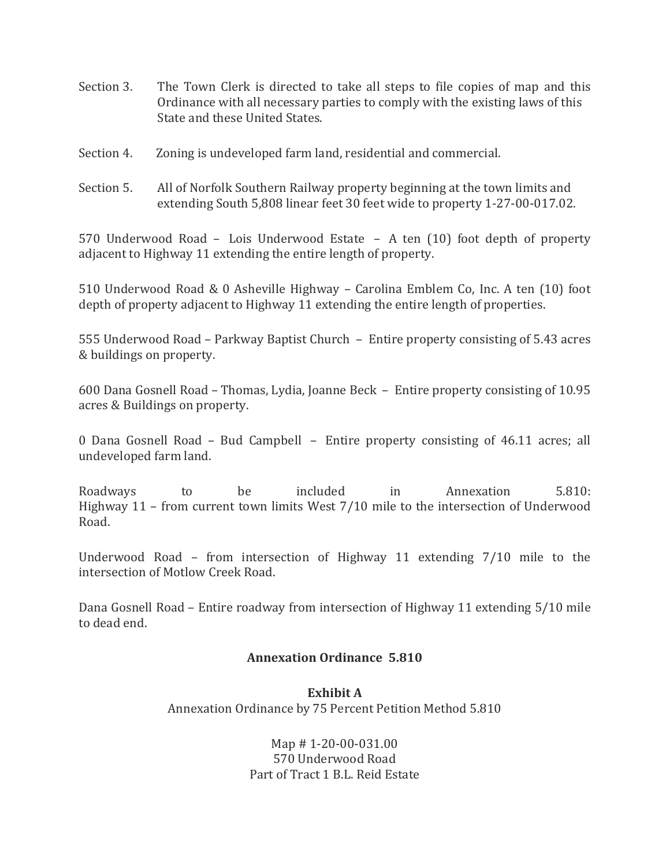- Section 3. The Town Clerk is directed to take all steps to file copies of map and this Ordinance with all necessary parties to comply with the existing laws of this State and these United States.
- Section 4. Zoning is undeveloped farm land, residential and commercial.
- Section 5. All of Norfolk Southern Railway property beginning at the town limits and extending South 5,808 linear feet 30 feet wide to property 1-27-00-017.02.

570 Underwood Road – Lois Underwood Estate – A ten (10) foot depth of property adjacent to Highway 11 extending the entire length of property.

510 Underwood Road & 0 Asheville Highway – Carolina Emblem Co, Inc. A ten (10) foot depth of property adjacent to Highway 11 extending the entire length of properties.

555 Underwood Road – Parkway Baptist Church – Entire property consisting of 5.43 acres & buildings on property.

600 Dana Gosnell Road – Thomas, Lydia, Joanne Beck – Entire property consisting of 10.95 acres & Buildings on property.

0 Dana Gosnell Road – Bud Campbell – Entire property consisting of 46.11 acres; all undeveloped farm land.

Roadways to be included in Annexation 5.810: Highway 11 – from current town limits West 7/10 mile to the intersection of Underwood Road.

Underwood Road – from intersection of Highway 11 extending 7/10 mile to the intersection of Motlow Creek Road.

Dana Gosnell Road – Entire roadway from intersection of Highway 11 extending 5/10 mile to dead end.

## **Annexation Ordinance 5.810**

**Exhibit A** Annexation Ordinance by 75 Percent Petition Method 5.810

> Map # 1-20-00-031.00 570 Underwood Road Part of Tract 1 B.L. Reid Estate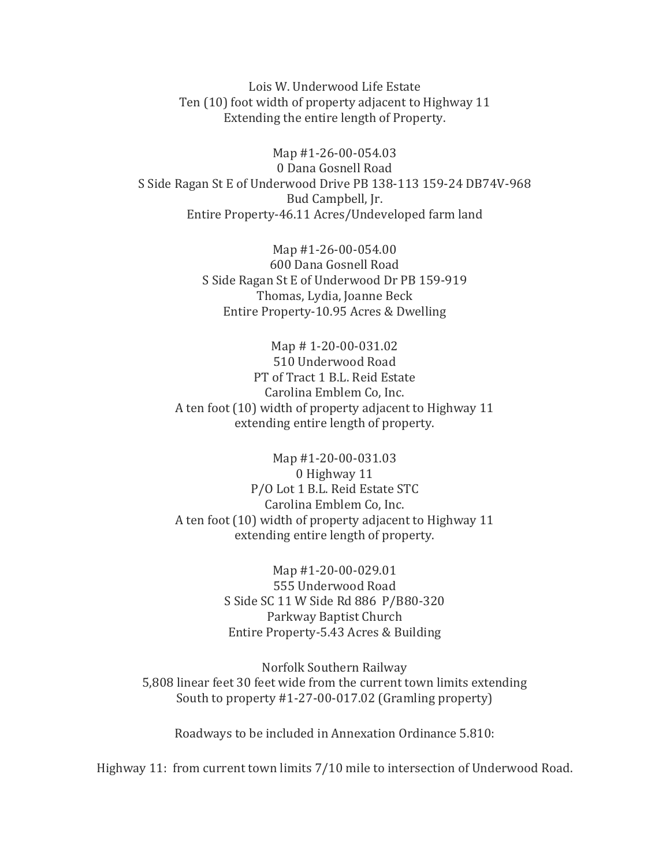Lois W. Underwood Life Estate Ten (10) foot width of property adjacent to Highway 11 Extending the entire length of Property.

Map #1-26-00-054.03 0 Dana Gosnell Road S Side Ragan St E of Underwood Drive PB 138-113 159-24 DB74V-968 Bud Campbell, Jr. Entire Property-46.11 Acres/Undeveloped farm land

> Map #1-26-00-054.00 600 Dana Gosnell Road S Side Ragan St E of Underwood Dr PB 159-919 Thomas, Lydia, Joanne Beck Entire Property-10.95 Acres & Dwelling

Map # 1-20-00-031.02 510 Underwood Road PT of Tract 1 B.L. Reid Estate Carolina Emblem Co, Inc. A ten foot (10) width of property adjacent to Highway 11 extending entire length of property.

Map #1-20-00-031.03 0 Highway 11 P/O Lot 1 B.L. Reid Estate STC Carolina Emblem Co, Inc. A ten foot (10) width of property adjacent to Highway 11 extending entire length of property.

> Map #1-20-00-029.01 555 Underwood Road S Side SC 11 W Side Rd 886 P/B80-320 Parkway Baptist Church Entire Property-5.43 Acres & Building

Norfolk Southern Railway 5,808 linear feet 30 feet wide from the current town limits extending South to property #1-27-00-017.02 (Gramling property)

Roadways to be included in Annexation Ordinance 5.810:

Highway 11: from current town limits 7/10 mile to intersection of Underwood Road.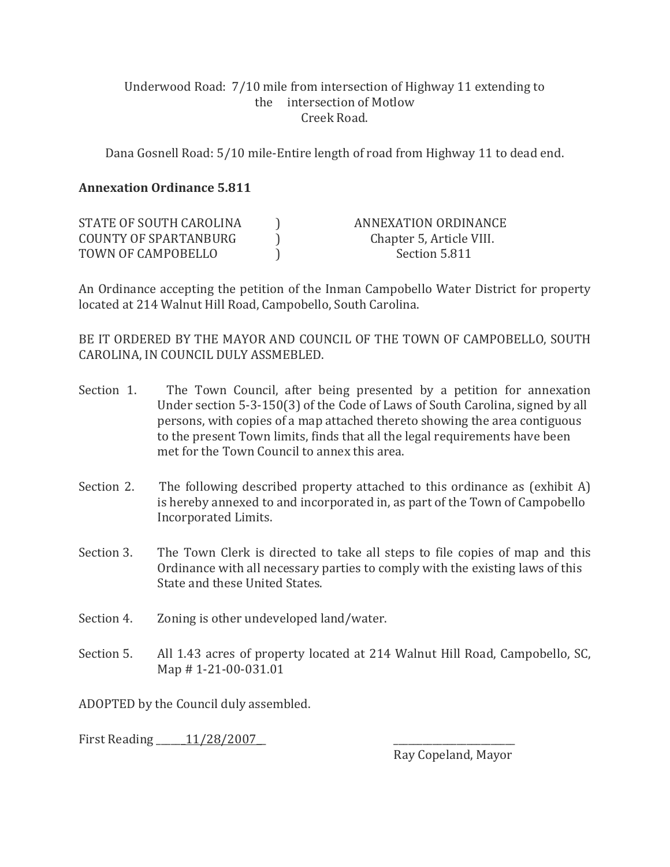## Underwood Road: 7/10 mile from intersection of Highway 11 extending to the intersection of Motlow Creek Road.

Dana Gosnell Road: 5/10 mile-Entire length of road from Highway 11 to dead end.

## **Annexation Ordinance 5.811**

| STATE OF SOUTH CAROLINA | ANNEXATION ORDINANCE     |
|-------------------------|--------------------------|
| COUNTY OF SPARTANBURG   | Chapter 5, Article VIII. |
| TOWN OF CAMPOBELLO      | Section 5.811            |

An Ordinance accepting the petition of the Inman Campobello Water District for property located at 214 Walnut Hill Road, Campobello, South Carolina.

BE IT ORDERED BY THE MAYOR AND COUNCIL OF THE TOWN OF CAMPOBELLO, SOUTH CAROLINA, IN COUNCIL DULY ASSMEBLED.

- Section 1. The Town Council, after being presented by a petition for annexation Under section 5-3-150(3) of the Code of Laws of South Carolina, signed by all persons, with copies of a map attached thereto showing the area contiguous to the present Town limits, finds that all the legal requirements have been met for the Town Council to annex this area.
- Section 2. The following described property attached to this ordinance as (exhibit A) is hereby annexed to and incorporated in, as part of the Town of Campobello Incorporated Limits.
- Section 3. The Town Clerk is directed to take all steps to file copies of map and this Ordinance with all necessary parties to comply with the existing laws of this State and these United States.
- Section 4. Zoning is other undeveloped land/water.
- Section 5. All 1.43 acres of property located at 214 Walnut Hill Road, Campobello, SC, Map # 1-21-00-031.01

ADOPTED by the Council duly assembled.

First Reading  $\qquad 11/28/2007$ 

Ray Copeland, Mayor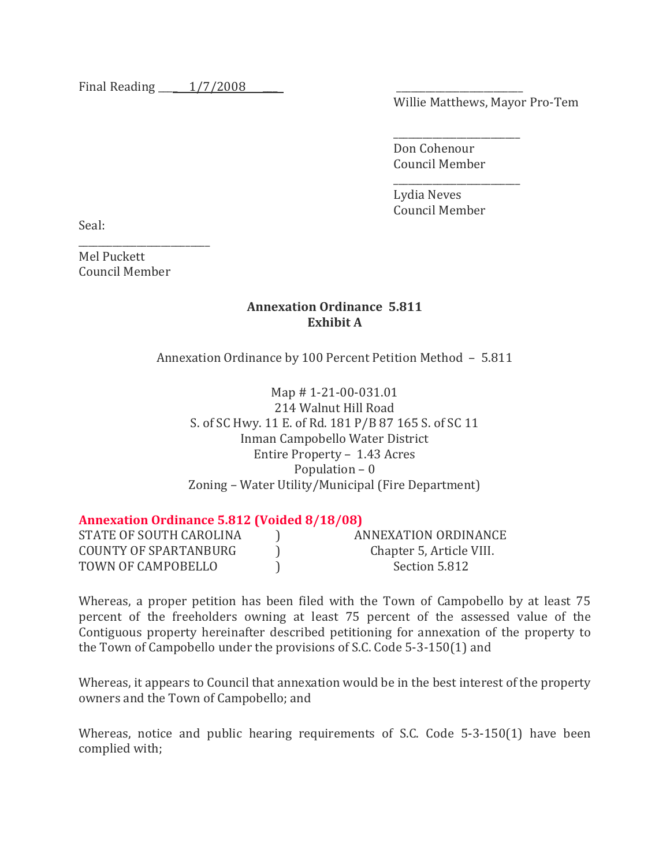Final Reading  $\frac{1}{7/2008}$ 

Willie Matthews, Mayor Pro-Tem

\_\_\_\_\_\_\_\_\_\_\_\_\_\_\_\_\_\_\_\_\_\_\_\_\_\_ Don Cohenour Council Member

\_\_\_\_\_\_\_\_\_\_\_\_\_\_\_\_\_\_\_\_\_\_\_\_\_\_ Lydia Neves Council Member

Seal:

Mel Puckett Council Member

\_\_\_\_\_\_\_\_\_\_\_\_\_\_\_\_\_\_\_\_\_\_\_\_\_\_\_

## **Annexation Ordinance 5.811 Exhibit A**

Annexation Ordinance by 100 Percent Petition Method – 5.811

Map # 1-21-00-031.01 214 Walnut Hill Road S. of SC Hwy. 11 E. of Rd. 181 P/B 87 165 S. of SC 11 Inman Campobello Water District Entire Property – 1.43 Acres Population – 0 Zoning – Water Utility/Municipal (Fire Department)

## **Annexation Ordinance 5.812 (Voided 8/18/08)**

| STATE OF SOUTH CAROLINA | ANNEXATION ORDINANCE     |
|-------------------------|--------------------------|
| COUNTY OF SPARTANBURG   | Chapter 5, Article VIII. |
| TOWN OF CAMPOBELLO      | Section 5.812            |

Whereas, a proper petition has been filed with the Town of Campobello by at least 75 percent of the freeholders owning at least 75 percent of the assessed value of the Contiguous property hereinafter described petitioning for annexation of the property to the Town of Campobello under the provisions of S.C. Code 5-3-150(1) and

Whereas, it appears to Council that annexation would be in the best interest of the property owners and the Town of Campobello; and

Whereas, notice and public hearing requirements of S.C. Code 5-3-150(1) have been complied with;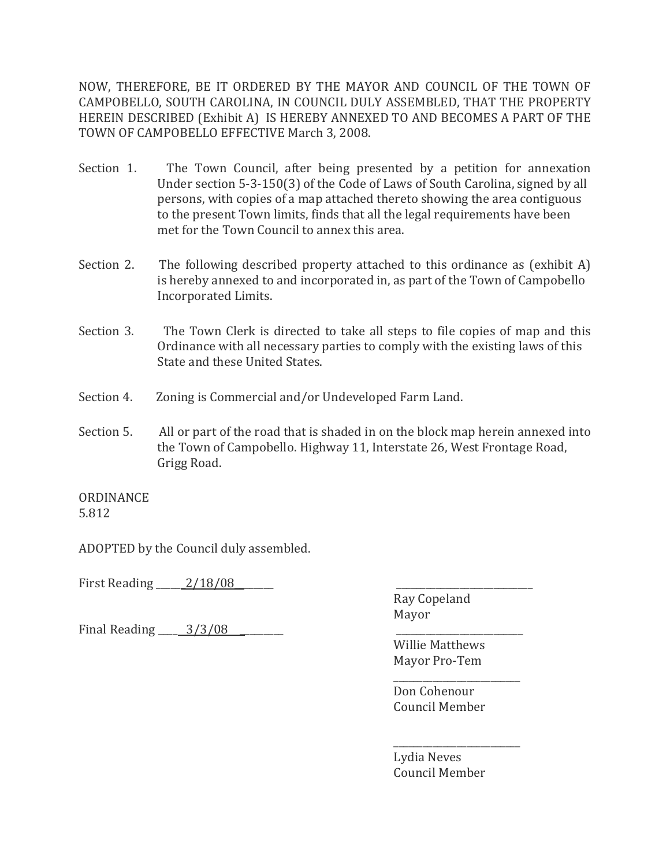NOW, THEREFORE, BE IT ORDERED BY THE MAYOR AND COUNCIL OF THE TOWN OF CAMPOBELLO, SOUTH CAROLINA, IN COUNCIL DULY ASSEMBLED, THAT THE PROPERTY HEREIN DESCRIBED (Exhibit A) IS HEREBY ANNEXED TO AND BECOMES A PART OF THE TOWN OF CAMPOBELLO EFFECTIVE March 3, 2008.

- Section 1. The Town Council, after being presented by a petition for annexation Under section 5-3-150(3) of the Code of Laws of South Carolina, signed by all persons, with copies of a map attached thereto showing the area contiguous to the present Town limits, finds that all the legal requirements have been met for the Town Council to annex this area.
- Section 2. The following described property attached to this ordinance as (exhibit A) is hereby annexed to and incorporated in, as part of the Town of Campobello Incorporated Limits.
- Section 3. The Town Clerk is directed to take all steps to file copies of map and this Ordinance with all necessary parties to comply with the existing laws of this State and these United States.
- Section 4. Zoning is Commercial and/or Undeveloped Farm Land.
- Section 5. All or part of the road that is shaded in on the block map herein annexed into the Town of Campobello. Highway 11, Interstate 26, West Frontage Road, Grigg Road.

ORDINANCE 5.812

ADOPTED by the Council duly assembled.

First Reading \_\_\_\_\_\_ 2/18/08

Final Reading  $\frac{3}{3}$  08

Ray Copeland Mayor

Willie Matthews Mayor Pro-Tem

\_\_\_\_\_\_\_\_\_\_\_\_\_\_\_\_\_\_\_\_\_\_\_\_\_\_ Don Cohenour Council Member

\_\_\_\_\_\_\_\_\_\_\_\_\_\_\_\_\_\_\_\_\_\_\_\_\_\_ Lydia Neves Council Member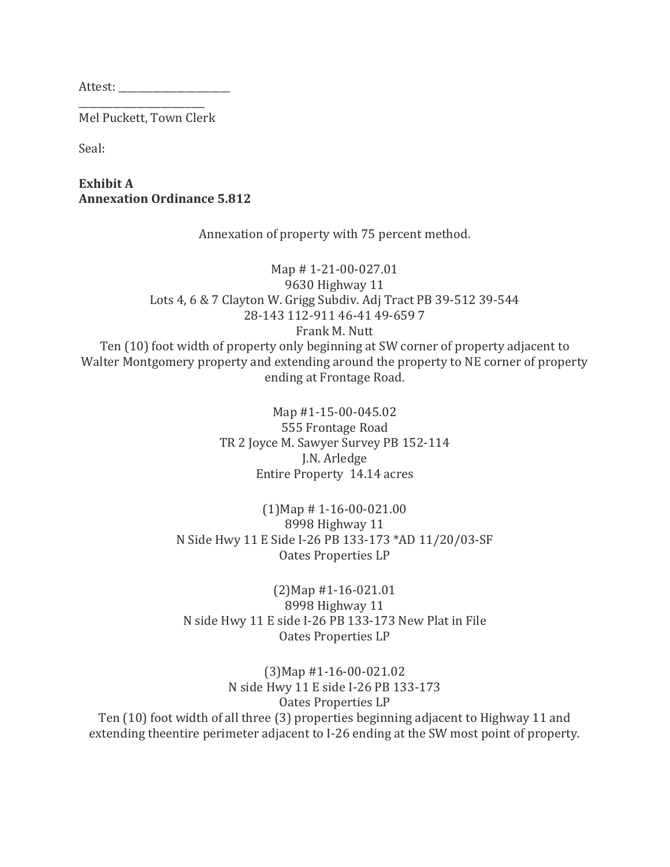Attest:

\_\_\_\_\_\_\_\_\_\_\_\_\_\_\_\_\_\_\_\_\_\_\_\_\_\_ Mel Puckett, Town Clerk

Seal:

**Exhibit A Annexation Ordinance 5.812**

Annexation of property with 75 percent method.

Map # 1-21-00-027.01 9630 Highway 11 Lots 4, 6 & 7 Clayton W. Grigg Subdiv. Adj Tract PB 39-512 39-544 28-143 112-911 46-41 49-659 7 Frank M. Nutt Ten (10) foot width of property only beginning at SW corner of property adjacent to Walter Montgomery property and extending around the property to NE corner of property ending at Frontage Road.

> Map #1-15-00-045.02 555 Frontage Road TR 2 Joyce M. Sawyer Survey PB 152-114 J.N. Arledge Entire Property 14.14 acres

(1)Map # 1-16-00-021.00 8998 Highway 11 N Side Hwy 11 E Side I-26 PB 133-173 \*AD 11/20/03-SF Oates Properties LP

(2)Map #1-16-021.01 8998 Highway 11 N side Hwy 11 E side I-26 PB 133-173 New Plat in File Oates Properties LP

(3)Map #1-16-00-021.02 N side Hwy 11 E side I-26 PB 133-173 Oates Properties LP Ten (10) foot width of all three (3) properties beginning adjacent to Highway 11 and extending theentire perimeter adjacent to I-26 ending at the SW most point of property.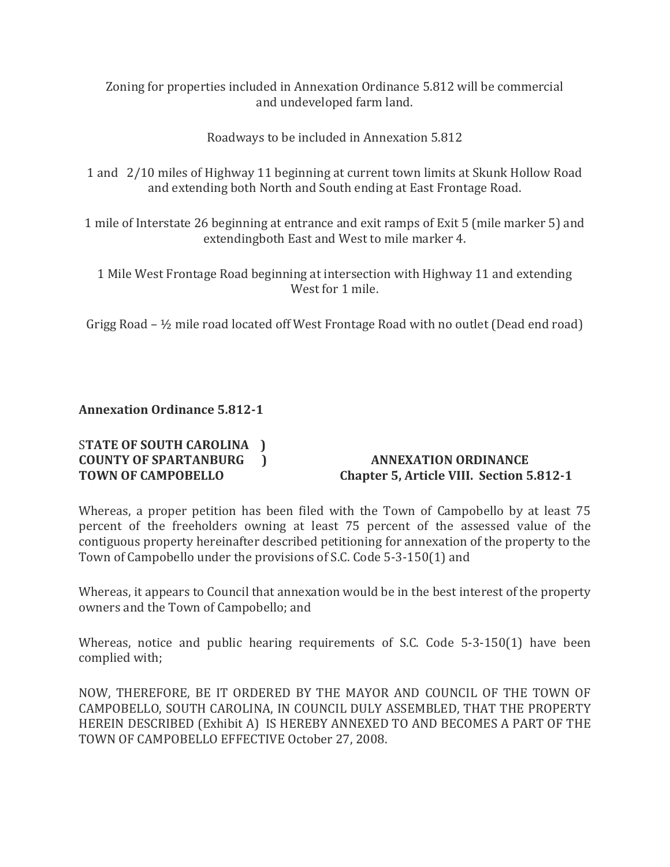Zoning for properties included in Annexation Ordinance 5.812 will be commercial and undeveloped farm land.

Roadways to be included in Annexation 5.812

1 and 2/10 miles of Highway 11 beginning at current town limits at Skunk Hollow Road and extending both North and South ending at East Frontage Road.

1 mile of Interstate 26 beginning at entrance and exit ramps of Exit 5 (mile marker 5) and extendingboth East and West to mile marker 4.

1 Mile West Frontage Road beginning at intersection with Highway 11 and extending West for 1 mile.

Grigg Road – ½ mile road located off West Frontage Road with no outlet (Dead end road)

## **Annexation Ordinance 5.812-1**

# S**TATE OF SOUTH CAROLINA ) COUNTY OF SPARTANBURG ) ANNEXATION ORDINANCE**

# **TOWN OF CAMPOBELLO Chapter 5, Article VIII. Section 5.812-1**

Whereas, a proper petition has been filed with the Town of Campobello by at least 75 percent of the freeholders owning at least 75 percent of the assessed value of the contiguous property hereinafter described petitioning for annexation of the property to the Town of Campobello under the provisions of S.C. Code 5-3-150(1) and

Whereas, it appears to Council that annexation would be in the best interest of the property owners and the Town of Campobello; and

Whereas, notice and public hearing requirements of S.C. Code 5-3-150(1) have been complied with;

NOW, THEREFORE, BE IT ORDERED BY THE MAYOR AND COUNCIL OF THE TOWN OF CAMPOBELLO, SOUTH CAROLINA, IN COUNCIL DULY ASSEMBLED, THAT THE PROPERTY HEREIN DESCRIBED (Exhibit A) IS HEREBY ANNEXED TO AND BECOMES A PART OF THE TOWN OF CAMPOBELLO EFFECTIVE October 27, 2008.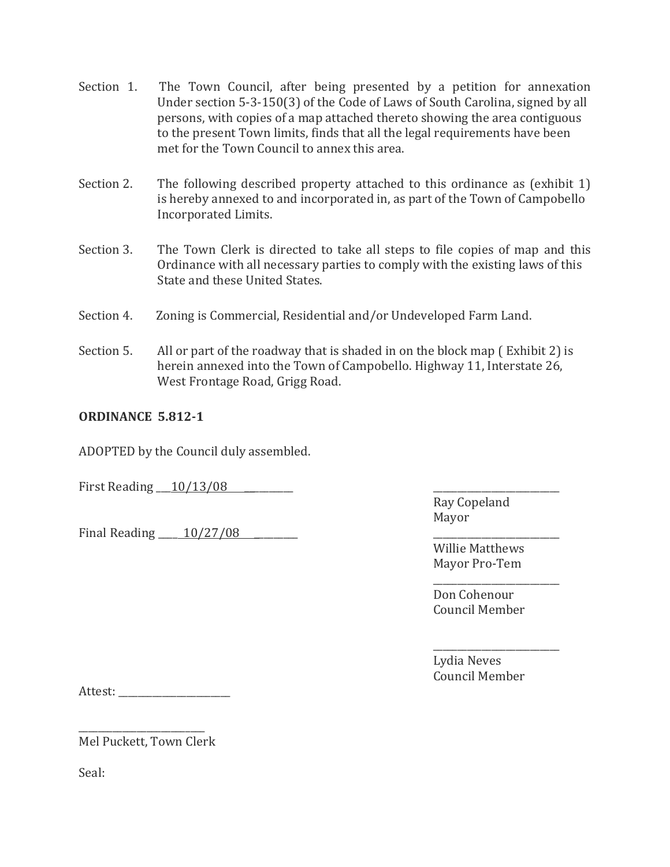- Section 1. The Town Council, after being presented by a petition for annexation Under section 5-3-150(3) of the Code of Laws of South Carolina, signed by all persons, with copies of a map attached thereto showing the area contiguous to the present Town limits, finds that all the legal requirements have been met for the Town Council to annex this area.
- Section 2. The following described property attached to this ordinance as (exhibit 1) is hereby annexed to and incorporated in, as part of the Town of Campobello Incorporated Limits.
- Section 3. The Town Clerk is directed to take all steps to file copies of map and this Ordinance with all necessary parties to comply with the existing laws of this State and these United States.
- Section 4. Zoning is Commercial, Residential and/or Undeveloped Farm Land.
- Section 5. All or part of the roadway that is shaded in on the block map ( Exhibit 2) is herein annexed into the Town of Campobello. Highway 11, Interstate 26, West Frontage Road, Grigg Road.

## **ORDINANCE 5.812-1**

ADOPTED by the Council duly assembled.

First Reading 10/13/08

Final Reading  $\qquad 10/27/08$ 

Ray Copeland Mayor

Willie Matthews Mayor Pro-Tem

Don Cohenour Council Member

\_\_\_\_\_\_\_\_\_\_\_\_\_\_\_\_\_\_\_\_\_\_\_\_\_\_

\_\_\_\_\_\_\_\_\_\_\_\_\_\_\_\_\_\_\_\_\_\_\_\_\_\_

Lydia Neves Council Member

Attest: \_\_\_\_\_\_\_\_\_\_\_\_\_\_\_\_\_\_\_\_\_\_\_

\_\_\_\_\_\_\_\_\_\_\_\_\_\_\_\_\_\_\_\_\_\_\_\_\_\_ Mel Puckett, Town Clerk

Seal: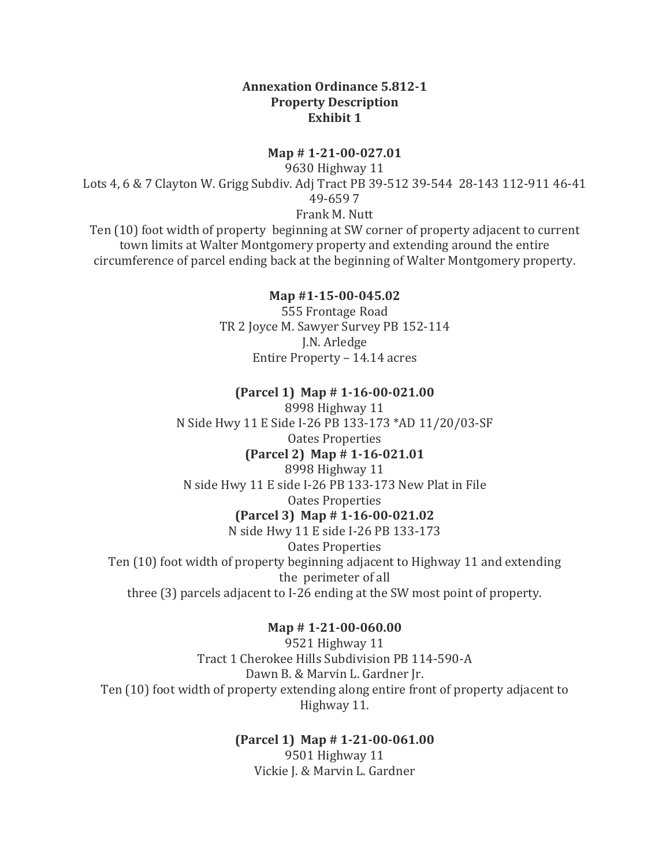#### **Annexation Ordinance 5.812-1 Property Description Exhibit 1**

#### **Map # 1-21-00-027.01**

9630 Highway 11 Lots 4, 6 & 7 Clayton W. Grigg Subdiv. Adj Tract PB 39-512 39-544 28-143 112-911 46-41 49-659 7 Frank M. Nutt

Ten (10) foot width of property beginning at SW corner of property adjacent to current town limits at Walter Montgomery property and extending around the entire circumference of parcel ending back at the beginning of Walter Montgomery property.

#### **Map #1-15-00-045.02** 555 Frontage Road TR 2 Joyce M. Sawyer Survey PB 152-114 J.N. Arledge Entire Property – 14.14 acres

#### **(Parcel 1) Map # 1-16-00-021.00**

8998 Highway 11 N Side Hwy 11 E Side I-26 PB 133-173 \*AD 11/20/03-SF Oates Properties **(Parcel 2) Map # 1-16-021.01** 8998 Highway 11 N side Hwy 11 E side I-26 PB 133-173 New Plat in File Oates Properties

#### **(Parcel 3) Map # 1-16-00-021.02**

N side Hwy 11 E side I-26 PB 133-173

Oates Properties

Ten (10) foot width of property beginning adjacent to Highway 11 and extending the perimeter of all three (3) parcels adjacent to I-26 ending at the SW most point of property.

#### **Map # 1-21-00-060.00**

9521 Highway 11 Tract 1 Cherokee Hills Subdivision PB 114-590-A Dawn B. & Marvin L. Gardner Jr. Ten (10) foot width of property extending along entire front of property adjacent to Highway 11.

#### **(Parcel 1) Map # 1-21-00-061.00** 9501 Highway 11 Vickie J. & Marvin L. Gardner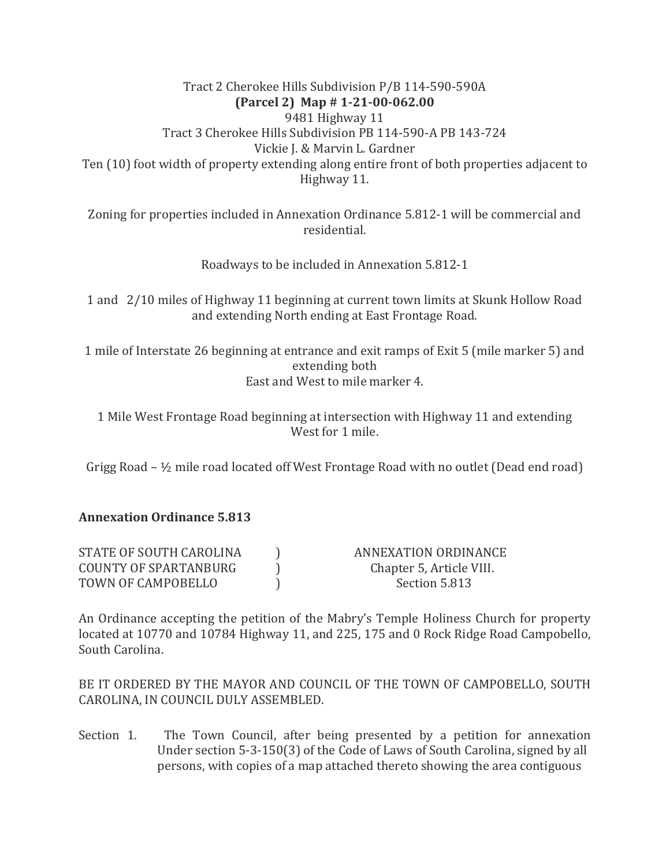Tract 2 Cherokee Hills Subdivision P/B 114-590-590A **(Parcel 2) Map # 1-21-00-062.00** 9481 Highway 11 Tract 3 Cherokee Hills Subdivision PB 114-590-A PB 143-724 Vickie J. & Marvin L. Gardner Ten (10) foot width of property extending along entire front of both properties adjacent to Highway 11.

Zoning for properties included in Annexation Ordinance 5.812-1 will be commercial and residential.

Roadways to be included in Annexation 5.812-1

1 and 2/10 miles of Highway 11 beginning at current town limits at Skunk Hollow Road and extending North ending at East Frontage Road.

1 mile of Interstate 26 beginning at entrance and exit ramps of Exit 5 (mile marker 5) and extending both East and West to mile marker 4.

1 Mile West Frontage Road beginning at intersection with Highway 11 and extending West for 1 mile.

Grigg Road  $-$  1/2 mile road located off West Frontage Road with no outlet (Dead end road)

## **Annexation Ordinance 5.813**

| STATE OF SOUTH CAROLINA | ANNEXATION ORDINANCE     |
|-------------------------|--------------------------|
| COUNTY OF SPARTANBURG   | Chapter 5, Article VIII. |
| TOWN OF CAMPOBELLO      | Section 5.813            |

An Ordinance accepting the petition of the Mabry's Temple Holiness Church for property located at 10770 and 10784 Highway 11, and 225, 175 and 0 Rock Ridge Road Campobello, South Carolina.

BE IT ORDERED BY THE MAYOR AND COUNCIL OF THE TOWN OF CAMPOBELLO, SOUTH CAROLINA, IN COUNCIL DULY ASSEMBLED.

Section 1. The Town Council, after being presented by a petition for annexation Under section 5-3-150(3) of the Code of Laws of South Carolina, signed by all persons, with copies of a map attached thereto showing the area contiguous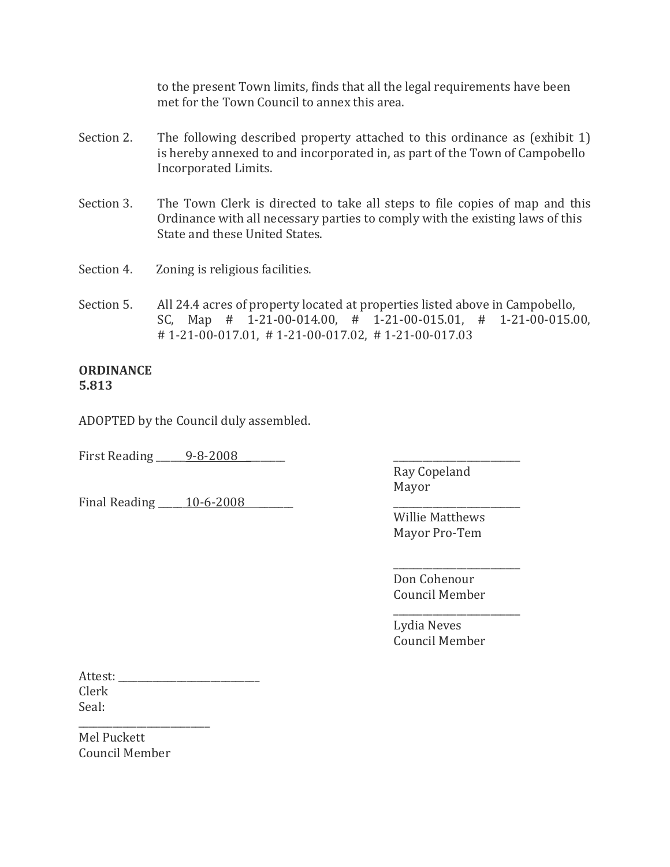to the present Town limits, finds that all the legal requirements have been met for the Town Council to annex this area.

- Section 2. The following described property attached to this ordinance as (exhibit 1) is hereby annexed to and incorporated in, as part of the Town of Campobello Incorporated Limits.
- Section 3. The Town Clerk is directed to take all steps to file copies of map and this Ordinance with all necessary parties to comply with the existing laws of this State and these United States.
- Section 4. Zoning is religious facilities.
- Section 5. All 24.4 acres of property located at properties listed above in Campobello, SC, Map # 1-21-00-014.00, # 1-21-00-015.01, # 1-21-00-015.00, # 1-21-00-017.01, # 1-21-00-017.02, # 1-21-00-017.03

#### **ORDINANCE 5.813**

ADOPTED by the Council duly assembled.

First Reading <u>9-8-2008</u>

Final Reading \_\_\_\_\_ 10-6-2008

Ray Copeland Mayor

Willie Matthews Mayor Pro-Tem

\_\_\_\_\_\_\_\_\_\_\_\_\_\_\_\_\_\_\_\_\_\_\_\_\_\_ Don Cohenour Council Member

Lydia Neves Council Member

\_\_\_\_\_\_\_\_\_\_\_\_\_\_\_\_\_\_\_\_\_\_\_\_\_\_

Attest: \_\_\_\_\_\_\_\_\_\_\_\_\_\_\_\_\_\_\_\_\_\_\_\_\_\_\_\_\_ Clerk Seal:

\_\_\_\_\_\_\_\_\_\_\_\_\_\_\_\_\_\_\_\_\_\_\_\_\_\_\_ Mel Puckett Council Member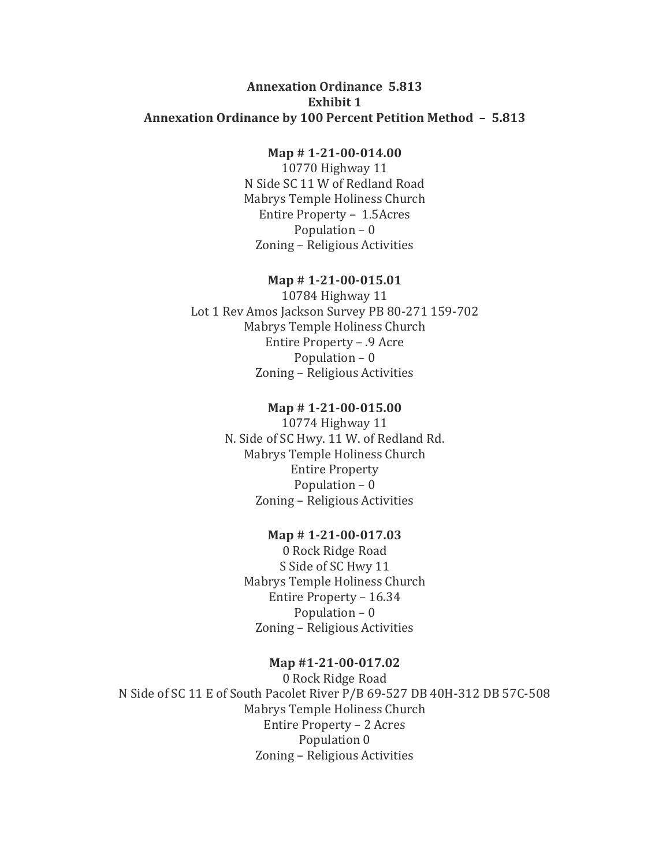#### **Annexation Ordinance 5.813 Exhibit 1 Annexation Ordinance by 100 Percent Petition Method – 5.813**

#### **Map # 1-21-00-014.00**

10770 Highway 11 N Side SC 11 W of Redland Road Mabrys Temple Holiness Church Entire Property – 1.5Acres Population – 0 Zoning – Religious Activities

#### **Map # 1-21-00-015.01**

10784 Highway 11 Lot 1 Rev Amos Jackson Survey PB 80-271 159-702 Mabrys Temple Holiness Church Entire Property – .9 Acre Population – 0 Zoning – Religious Activities

#### **Map # 1-21-00-015.00**

10774 Highway 11 N. Side of SC Hwy. 11 W. of Redland Rd. Mabrys Temple Holiness Church Entire Property Population – 0 Zoning – Religious Activities

#### **Map # 1-21-00-017.03**

0 Rock Ridge Road S Side of SC Hwy 11 Mabrys Temple Holiness Church Entire Property – 16.34 Population – 0 Zoning – Religious Activities

#### **Map #1-21-00-017.02**

0 Rock Ridge Road N Side of SC 11 E of South Pacolet River P/B 69-527 DB 40H-312 DB 57C-508 Mabrys Temple Holiness Church Entire Property – 2 Acres Population 0 Zoning – Religious Activities